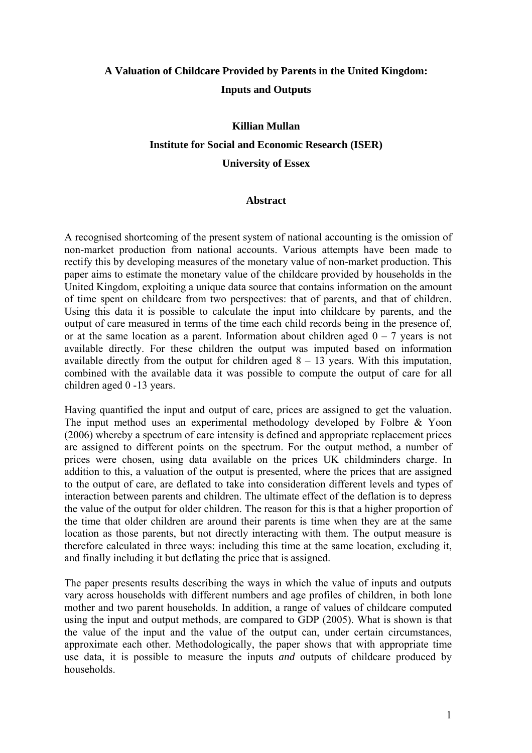# **A Valuation of Childcare Provided by Parents in the United Kingdom: Inputs and Outputs**

# **Killian Mullan Institute for Social and Economic Research (ISER) University of Essex**

# **Abstract**

A recognised shortcoming of the present system of national accounting is the omission of non-market production from national accounts. Various attempts have been made to rectify this by developing measures of the monetary value of non-market production. This paper aims to estimate the monetary value of the childcare provided by households in the United Kingdom, exploiting a unique data source that contains information on the amount of time spent on childcare from two perspectives: that of parents, and that of children. Using this data it is possible to calculate the input into childcare by parents, and the output of care measured in terms of the time each child records being in the presence of, or at the same location as a parent. Information about children aged  $0 - 7$  years is not available directly. For these children the output was imputed based on information available directly from the output for children aged  $8 - 13$  years. With this imputation, combined with the available data it was possible to compute the output of care for all children aged 0 -13 years.

Having quantified the input and output of care, prices are assigned to get the valuation. The input method uses an experimental methodology developed by Folbre & Yoon (2006) whereby a spectrum of care intensity is defined and appropriate replacement prices are assigned to different points on the spectrum. For the output method, a number of prices were chosen, using data available on the prices UK childminders charge. In addition to this, a valuation of the output is presented, where the prices that are assigned to the output of care, are deflated to take into consideration different levels and types of interaction between parents and children. The ultimate effect of the deflation is to depress the value of the output for older children. The reason for this is that a higher proportion of the time that older children are around their parents is time when they are at the same location as those parents, but not directly interacting with them. The output measure is therefore calculated in three ways: including this time at the same location, excluding it, and finally including it but deflating the price that is assigned.

The paper presents results describing the ways in which the value of inputs and outputs vary across households with different numbers and age profiles of children, in both lone mother and two parent households. In addition, a range of values of childcare computed using the input and output methods, are compared to GDP (2005). What is shown is that the value of the input and the value of the output can, under certain circumstances, approximate each other. Methodologically, the paper shows that with appropriate time use data, it is possible to measure the inputs *and* outputs of childcare produced by households.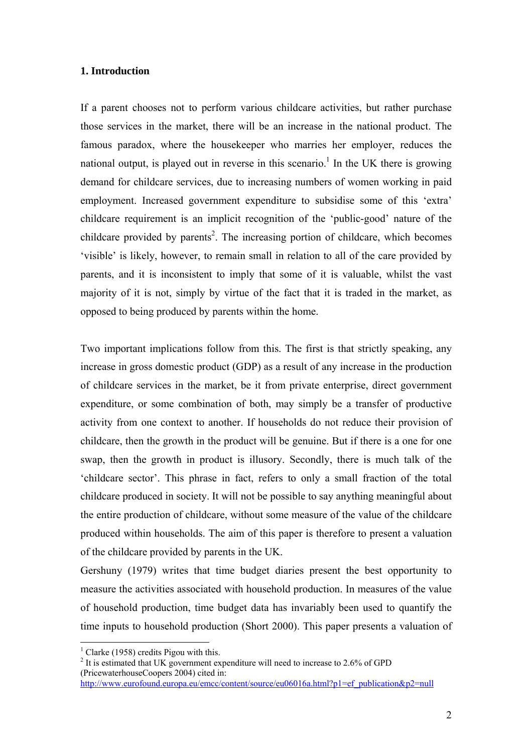## **1. Introduction**

If a parent chooses not to perform various childcare activities, but rather purchase those services in the market, there will be an increase in the national product. The famous paradox, where the housekeeper who marries her employer, reduces the national output, is played out in reverse in this scenario.<sup>1</sup> In the UK there is growing demand for childcare services, due to increasing numbers of women working in paid employment. Increased government expenditure to subsidise some of this 'extra' childcare requirement is an implicit recognition of the 'public-good' nature of the childcare provided by parents<sup>2</sup>. The increasing portion of childcare, which becomes 'visible' is likely, however, to remain small in relation to all of the care provided by parents, and it is inconsistent to imply that some of it is valuable, whilst the vast majority of it is not, simply by virtue of the fact that it is traded in the market, as opposed to being produced by parents within the home.

Two important implications follow from this. The first is that strictly speaking, any increase in gross domestic product (GDP) as a result of any increase in the production of childcare services in the market, be it from private enterprise, direct government expenditure, or some combination of both, may simply be a transfer of productive activity from one context to another. If households do not reduce their provision of childcare, then the growth in the product will be genuine. But if there is a one for one swap, then the growth in product is illusory. Secondly, there is much talk of the 'childcare sector'. This phrase in fact, refers to only a small fraction of the total childcare produced in society. It will not be possible to say anything meaningful about the entire production of childcare, without some measure of the value of the childcare produced within households. The aim of this paper is therefore to present a valuation of the childcare provided by parents in the UK.

Gershuny (1979) writes that time budget diaries present the best opportunity to measure the activities associated with household production. In measures of the value of household production, time budget data has invariably been used to quantify the time inputs to household production (Short 2000). This paper presents a valuation of

 $\overline{a}$ 

<sup>&</sup>lt;sup>1</sup> Clarke (1958) credits Pigou with this.

 $2$  It is estimated that UK government expenditure will need to increase to 2.6% of GPD (PricewaterhouseCoopers 2004) cited in:

http://www.eurofound.europa.eu/emcc/content/source/eu06016a.html?p1=ef\_publication&p2=null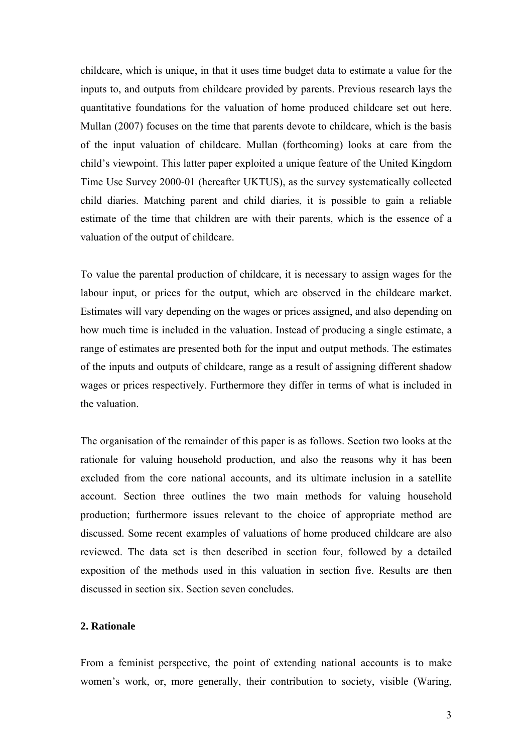childcare, which is unique, in that it uses time budget data to estimate a value for the inputs to, and outputs from childcare provided by parents. Previous research lays the quantitative foundations for the valuation of home produced childcare set out here. Mullan (2007) focuses on the time that parents devote to childcare, which is the basis of the input valuation of childcare. Mullan (forthcoming) looks at care from the child's viewpoint. This latter paper exploited a unique feature of the United Kingdom Time Use Survey 2000-01 (hereafter UKTUS), as the survey systematically collected child diaries. Matching parent and child diaries, it is possible to gain a reliable estimate of the time that children are with their parents, which is the essence of a valuation of the output of childcare.

To value the parental production of childcare, it is necessary to assign wages for the labour input, or prices for the output, which are observed in the childcare market. Estimates will vary depending on the wages or prices assigned, and also depending on how much time is included in the valuation. Instead of producing a single estimate, a range of estimates are presented both for the input and output methods. The estimates of the inputs and outputs of childcare, range as a result of assigning different shadow wages or prices respectively. Furthermore they differ in terms of what is included in the valuation.

The organisation of the remainder of this paper is as follows. Section two looks at the rationale for valuing household production, and also the reasons why it has been excluded from the core national accounts, and its ultimate inclusion in a satellite account. Section three outlines the two main methods for valuing household production; furthermore issues relevant to the choice of appropriate method are discussed. Some recent examples of valuations of home produced childcare are also reviewed. The data set is then described in section four, followed by a detailed exposition of the methods used in this valuation in section five. Results are then discussed in section six. Section seven concludes.

# **2. Rationale**

From a feminist perspective, the point of extending national accounts is to make women's work, or, more generally, their contribution to society, visible (Waring,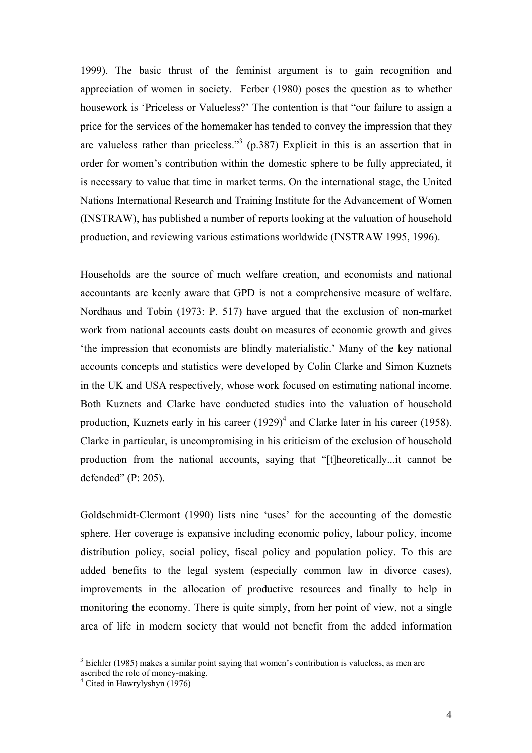1999). The basic thrust of the feminist argument is to gain recognition and appreciation of women in society. Ferber (1980) poses the question as to whether housework is 'Priceless or Valueless?' The contention is that "our failure to assign a price for the services of the homemaker has tended to convey the impression that they are valueless rather than priceless.<sup>3</sup> (p.387) Explicit in this is an assertion that in order for women's contribution within the domestic sphere to be fully appreciated, it is necessary to value that time in market terms. On the international stage, the United Nations International Research and Training Institute for the Advancement of Women (INSTRAW), has published a number of reports looking at the valuation of household production, and reviewing various estimations worldwide (INSTRAW 1995, 1996).

Households are the source of much welfare creation, and economists and national accountants are keenly aware that GPD is not a comprehensive measure of welfare. Nordhaus and Tobin (1973: P. 517) have argued that the exclusion of non-market work from national accounts casts doubt on measures of economic growth and gives 'the impression that economists are blindly materialistic.' Many of the key national accounts concepts and statistics were developed by Colin Clarke and Simon Kuznets in the UK and USA respectively, whose work focused on estimating national income. Both Kuznets and Clarke have conducted studies into the valuation of household production, Kuznets early in his career  $(1929)^4$  and Clarke later in his career (1958). Clarke in particular, is uncompromising in his criticism of the exclusion of household production from the national accounts, saying that "[t]heoretically...it cannot be defended" (P: 205).

Goldschmidt-Clermont (1990) lists nine 'uses' for the accounting of the domestic sphere. Her coverage is expansive including economic policy, labour policy, income distribution policy, social policy, fiscal policy and population policy. To this are added benefits to the legal system (especially common law in divorce cases), improvements in the allocation of productive resources and finally to help in monitoring the economy. There is quite simply, from her point of view, not a single area of life in modern society that would not benefit from the added information

 $\overline{a}$ 

 $3$  Eichler (1985) makes a similar point saying that women's contribution is valueless, as men are ascribed the role of money-making.

<sup>4</sup> Cited in Hawrylyshyn (1976)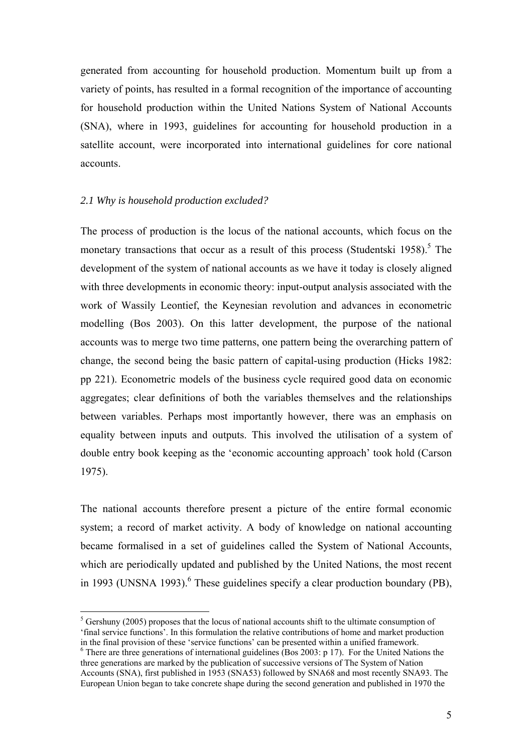generated from accounting for household production. Momentum built up from a variety of points, has resulted in a formal recognition of the importance of accounting for household production within the United Nations System of National Accounts (SNA), where in 1993, guidelines for accounting for household production in a satellite account, were incorporated into international guidelines for core national accounts.

#### *2.1 Why is household production excluded?*

 $\overline{a}$ 

The process of production is the locus of the national accounts, which focus on the monetary transactions that occur as a result of this process (Studentski 1958).<sup>5</sup> The development of the system of national accounts as we have it today is closely aligned with three developments in economic theory: input-output analysis associated with the work of Wassily Leontief, the Keynesian revolution and advances in econometric modelling (Bos 2003). On this latter development, the purpose of the national accounts was to merge two time patterns, one pattern being the overarching pattern of change, the second being the basic pattern of capital-using production (Hicks 1982: pp 221). Econometric models of the business cycle required good data on economic aggregates; clear definitions of both the variables themselves and the relationships between variables. Perhaps most importantly however, there was an emphasis on equality between inputs and outputs. This involved the utilisation of a system of double entry book keeping as the 'economic accounting approach' took hold (Carson 1975).

The national accounts therefore present a picture of the entire formal economic system; a record of market activity. A body of knowledge on national accounting became formalised in a set of guidelines called the System of National Accounts, which are periodically updated and published by the United Nations, the most recent in 1993 (UNSNA 1993).<sup>6</sup> These guidelines specify a clear production boundary (PB),

 $<sup>5</sup>$  Gershuny (2005) proposes that the locus of national accounts shift to the ultimate consumption of</sup> 'final service functions'. In this formulation the relative contributions of home and market production in the final provision of these 'service functions' can be presented within a unified framework. 6

 $6$  There are three generations of international guidelines (Bos 2003: p 17). For the United Nations the three generations are marked by the publication of successive versions of The System of Nation Accounts (SNA), first published in 1953 (SNA53) followed by SNA68 and most recently SNA93. The European Union began to take concrete shape during the second generation and published in 1970 the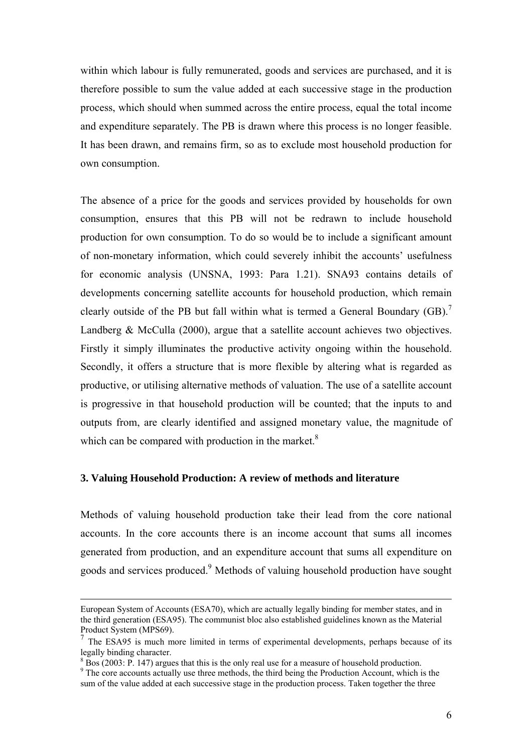within which labour is fully remunerated, goods and services are purchased, and it is therefore possible to sum the value added at each successive stage in the production process, which should when summed across the entire process, equal the total income and expenditure separately. The PB is drawn where this process is no longer feasible. It has been drawn, and remains firm, so as to exclude most household production for own consumption.

The absence of a price for the goods and services provided by households for own consumption, ensures that this PB will not be redrawn to include household production for own consumption. To do so would be to include a significant amount of non-monetary information, which could severely inhibit the accounts' usefulness for economic analysis (UNSNA, 1993: Para 1.21). SNA93 contains details of developments concerning satellite accounts for household production, which remain clearly outside of the PB but fall within what is termed a General Boundary  $(GB)$ .<sup>7</sup> Landberg & McCulla (2000), argue that a satellite account achieves two objectives. Firstly it simply illuminates the productive activity ongoing within the household. Secondly, it offers a structure that is more flexible by altering what is regarded as productive, or utilising alternative methods of valuation. The use of a satellite account is progressive in that household production will be counted; that the inputs to and outputs from, are clearly identified and assigned monetary value, the magnitude of which can be compared with production in the market. $8$ 

# **3. Valuing Household Production: A review of methods and literature**

Methods of valuing household production take their lead from the core national accounts. In the core accounts there is an income account that sums all incomes generated from production, and an expenditure account that sums all expenditure on goods and services produced.<sup>9</sup> Methods of valuing household production have sought

European System of Accounts (ESA70), which are actually legally binding for member states, and in the third generation (ESA95). The communist bloc also established guidelines known as the Material Product System (MPS69).

<sup>7</sup> The ESA95 is much more limited in terms of experimental developments, perhaps because of its legally binding character.

 $8\overline{B}$  Bos (2003: P. 147) argues that this is the only real use for a measure of household production.

<sup>&</sup>lt;sup>9</sup> The core accounts actually use three methods, the third being the Production Account, which is the sum of the value added at each successive stage in the production process. Taken together the three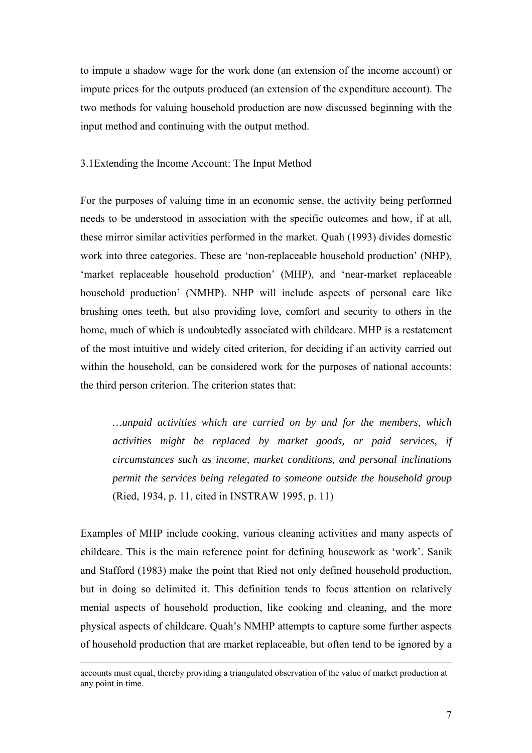to impute a shadow wage for the work done (an extension of the income account) or impute prices for the outputs produced (an extension of the expenditure account). The two methods for valuing household production are now discussed beginning with the input method and continuing with the output method.

#### 3.1Extending the Income Account: The Input Method

For the purposes of valuing time in an economic sense, the activity being performed needs to be understood in association with the specific outcomes and how, if at all, these mirror similar activities performed in the market. Quah (1993) divides domestic work into three categories. These are 'non-replaceable household production' (NHP), 'market replaceable household production' (MHP), and 'near-market replaceable household production' (NMHP). NHP will include aspects of personal care like brushing ones teeth, but also providing love, comfort and security to others in the home, much of which is undoubtedly associated with childcare. MHP is a restatement of the most intuitive and widely cited criterion, for deciding if an activity carried out within the household, can be considered work for the purposes of national accounts: the third person criterion. The criterion states that:

*…unpaid activities which are carried on by and for the members, which activities might be replaced by market goods, or paid services, if circumstances such as income, market conditions, and personal inclinations permit the services being relegated to someone outside the household group*  (Ried, 1934, p. 11, cited in INSTRAW 1995, p. 11)

Examples of MHP include cooking, various cleaning activities and many aspects of childcare. This is the main reference point for defining housework as 'work'. Sanik and Stafford (1983) make the point that Ried not only defined household production, but in doing so delimited it. This definition tends to focus attention on relatively menial aspects of household production, like cooking and cleaning, and the more physical aspects of childcare. Quah's NMHP attempts to capture some further aspects of household production that are market replaceable, but often tend to be ignored by a

accounts must equal, thereby providing a triangulated observation of the value of market production at any point in time.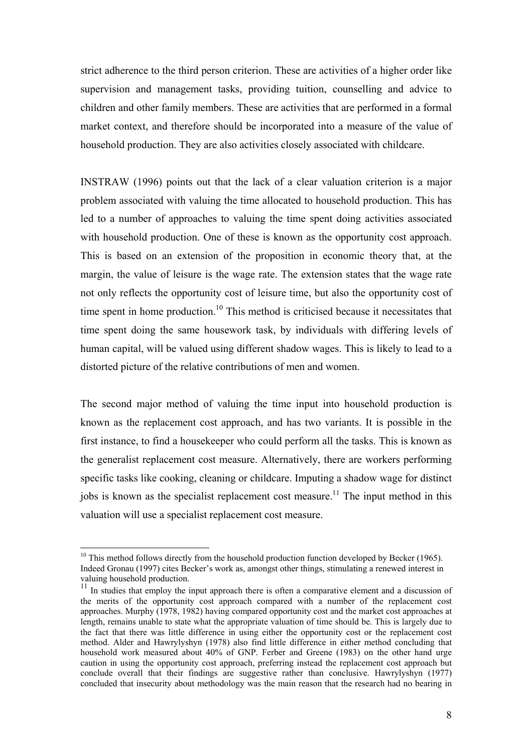strict adherence to the third person criterion. These are activities of a higher order like supervision and management tasks, providing tuition, counselling and advice to children and other family members. These are activities that are performed in a formal market context, and therefore should be incorporated into a measure of the value of household production. They are also activities closely associated with childcare.

INSTRAW (1996) points out that the lack of a clear valuation criterion is a major problem associated with valuing the time allocated to household production. This has led to a number of approaches to valuing the time spent doing activities associated with household production. One of these is known as the opportunity cost approach. This is based on an extension of the proposition in economic theory that, at the margin, the value of leisure is the wage rate. The extension states that the wage rate not only reflects the opportunity cost of leisure time, but also the opportunity cost of time spent in home production.<sup>10</sup> This method is criticised because it necessitates that time spent doing the same housework task, by individuals with differing levels of human capital, will be valued using different shadow wages. This is likely to lead to a distorted picture of the relative contributions of men and women.

The second major method of valuing the time input into household production is known as the replacement cost approach, and has two variants. It is possible in the first instance, to find a housekeeper who could perform all the tasks. This is known as the generalist replacement cost measure. Alternatively, there are workers performing specific tasks like cooking, cleaning or childcare. Imputing a shadow wage for distinct jobs is known as the specialist replacement cost measure.<sup>11</sup> The input method in this valuation will use a specialist replacement cost measure.

 $\overline{a}$ 

 $10$  This method follows directly from the household production function developed by Becker (1965). Indeed Gronau (1997) cites Becker's work as, amongst other things, stimulating a renewed interest in valuing household production.

<sup>&</sup>lt;sup>11</sup> In studies that employ the input approach there is often a comparative element and a discussion of the merits of the opportunity cost approach compared with a number of the replacement cost approaches. Murphy (1978, 1982) having compared opportunity cost and the market cost approaches at length, remains unable to state what the appropriate valuation of time should be. This is largely due to the fact that there was little difference in using either the opportunity cost or the replacement cost method. Alder and Hawrylyshyn (1978) also find little difference in either method concluding that household work measured about 40% of GNP. Ferber and Greene (1983) on the other hand urge caution in using the opportunity cost approach, preferring instead the replacement cost approach but conclude overall that their findings are suggestive rather than conclusive. Hawrylyshyn (1977) concluded that insecurity about methodology was the main reason that the research had no bearing in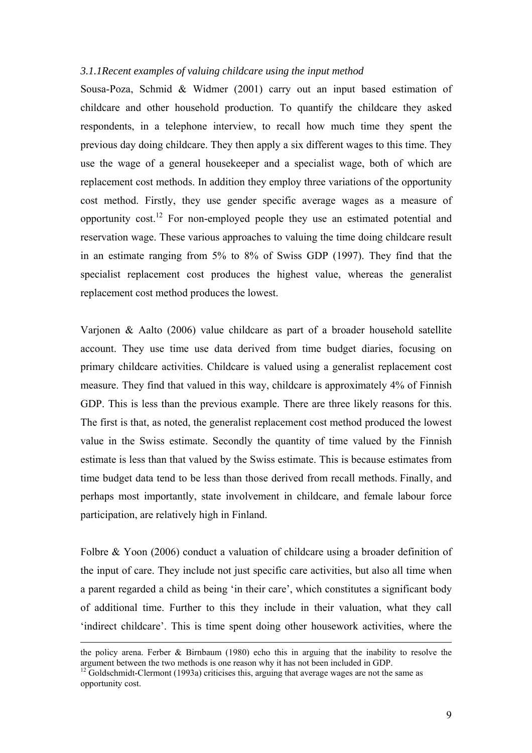#### *3.1.1Recent examples of valuing childcare using the input method*

Sousa-Poza, Schmid & Widmer (2001) carry out an input based estimation of childcare and other household production. To quantify the childcare they asked respondents, in a telephone interview, to recall how much time they spent the previous day doing childcare. They then apply a six different wages to this time. They use the wage of a general housekeeper and a specialist wage, both of which are replacement cost methods. In addition they employ three variations of the opportunity cost method. Firstly, they use gender specific average wages as a measure of opportunity cost.12 For non-employed people they use an estimated potential and reservation wage. These various approaches to valuing the time doing childcare result in an estimate ranging from 5% to 8% of Swiss GDP (1997). They find that the specialist replacement cost produces the highest value, whereas the generalist replacement cost method produces the lowest.

Varjonen & Aalto (2006) value childcare as part of a broader household satellite account. They use time use data derived from time budget diaries, focusing on primary childcare activities. Childcare is valued using a generalist replacement cost measure. They find that valued in this way, childcare is approximately 4% of Finnish GDP. This is less than the previous example. There are three likely reasons for this. The first is that, as noted, the generalist replacement cost method produced the lowest value in the Swiss estimate. Secondly the quantity of time valued by the Finnish estimate is less than that valued by the Swiss estimate. This is because estimates from time budget data tend to be less than those derived from recall methods. Finally, and perhaps most importantly, state involvement in childcare, and female labour force participation, are relatively high in Finland.

Folbre & Yoon (2006) conduct a valuation of childcare using a broader definition of the input of care. They include not just specific care activities, but also all time when a parent regarded a child as being 'in their care', which constitutes a significant body of additional time. Further to this they include in their valuation, what they call 'indirect childcare'. This is time spent doing other housework activities, where the

the policy arena. Ferber & Birnbaum (1980) echo this in arguing that the inability to resolve the argument between the two methods is one reason why it has not been included in GDP.

<sup>&</sup>lt;sup>12</sup> Goldschmidt-Clermont (1993a) criticises this, arguing that average wages are not the same as opportunity cost.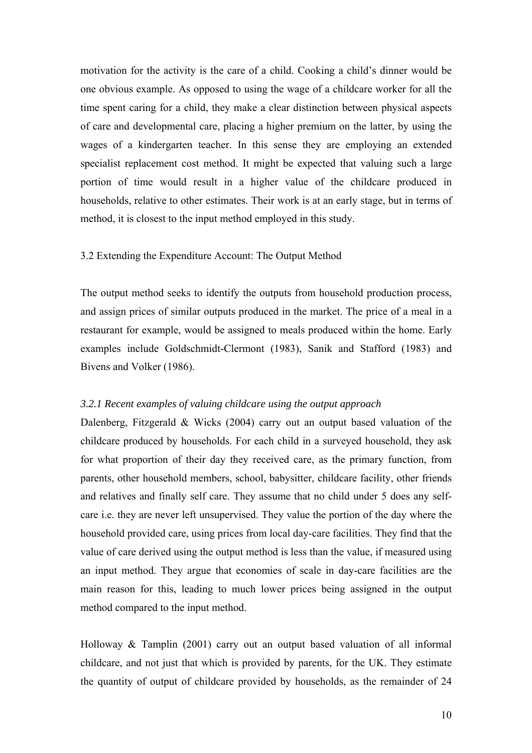motivation for the activity is the care of a child. Cooking a child's dinner would be one obvious example. As opposed to using the wage of a childcare worker for all the time spent caring for a child, they make a clear distinction between physical aspects of care and developmental care, placing a higher premium on the latter, by using the wages of a kindergarten teacher. In this sense they are employing an extended specialist replacement cost method. It might be expected that valuing such a large portion of time would result in a higher value of the childcare produced in households, relative to other estimates. Their work is at an early stage, but in terms of method, it is closest to the input method employed in this study.

## 3.2 Extending the Expenditure Account: The Output Method

The output method seeks to identify the outputs from household production process, and assign prices of similar outputs produced in the market. The price of a meal in a restaurant for example, would be assigned to meals produced within the home. Early examples include Goldschmidt-Clermont (1983), Sanik and Stafford (1983) and Bivens and Volker (1986).

#### *3.2.1 Recent examples of valuing childcare using the output approach*

Dalenberg, Fitzgerald & Wicks (2004) carry out an output based valuation of the childcare produced by households. For each child in a surveyed household, they ask for what proportion of their day they received care, as the primary function, from parents, other household members, school, babysitter, childcare facility, other friends and relatives and finally self care. They assume that no child under 5 does any selfcare i.e. they are never left unsupervised. They value the portion of the day where the household provided care, using prices from local day-care facilities. They find that the value of care derived using the output method is less than the value, if measured using an input method. They argue that economies of scale in day-care facilities are the main reason for this, leading to much lower prices being assigned in the output method compared to the input method.

Holloway & Tamplin (2001) carry out an output based valuation of all informal childcare, and not just that which is provided by parents, for the UK. They estimate the quantity of output of childcare provided by households, as the remainder of 24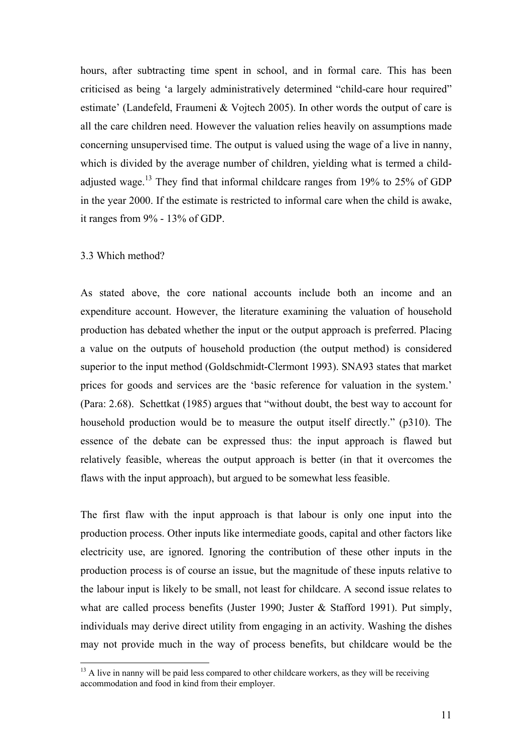hours, after subtracting time spent in school, and in formal care. This has been criticised as being 'a largely administratively determined "child-care hour required" estimate' (Landefeld, Fraumeni & Vojtech 2005). In other words the output of care is all the care children need. However the valuation relies heavily on assumptions made concerning unsupervised time. The output is valued using the wage of a live in nanny, which is divided by the average number of children, yielding what is termed a childadjusted wage.<sup>13</sup> They find that informal childcare ranges from 19% to 25% of GDP in the year 2000. If the estimate is restricted to informal care when the child is awake, it ranges from 9% - 13% of GDP.

#### 3.3 Which method?

 $\overline{a}$ 

As stated above, the core national accounts include both an income and an expenditure account. However, the literature examining the valuation of household production has debated whether the input or the output approach is preferred. Placing a value on the outputs of household production (the output method) is considered superior to the input method (Goldschmidt-Clermont 1993). SNA93 states that market prices for goods and services are the 'basic reference for valuation in the system.' (Para: 2.68). Schettkat (1985) argues that "without doubt, the best way to account for household production would be to measure the output itself directly." (p310). The essence of the debate can be expressed thus: the input approach is flawed but relatively feasible, whereas the output approach is better (in that it overcomes the flaws with the input approach), but argued to be somewhat less feasible.

The first flaw with the input approach is that labour is only one input into the production process. Other inputs like intermediate goods, capital and other factors like electricity use, are ignored. Ignoring the contribution of these other inputs in the production process is of course an issue, but the magnitude of these inputs relative to the labour input is likely to be small, not least for childcare. A second issue relates to what are called process benefits (Juster 1990; Juster  $&$  Stafford 1991). Put simply, individuals may derive direct utility from engaging in an activity. Washing the dishes may not provide much in the way of process benefits, but childcare would be the

 $<sup>13</sup>$  A live in nanny will be paid less compared to other childcare workers, as they will be receiving</sup> accommodation and food in kind from their employer.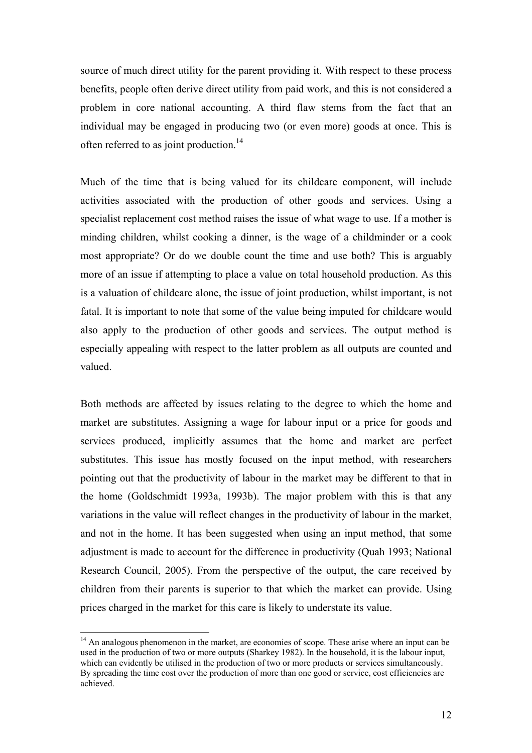source of much direct utility for the parent providing it. With respect to these process benefits, people often derive direct utility from paid work, and this is not considered a problem in core national accounting. A third flaw stems from the fact that an individual may be engaged in producing two (or even more) goods at once. This is often referred to as joint production.<sup>14</sup>

Much of the time that is being valued for its childcare component, will include activities associated with the production of other goods and services. Using a specialist replacement cost method raises the issue of what wage to use. If a mother is minding children, whilst cooking a dinner, is the wage of a childminder or a cook most appropriate? Or do we double count the time and use both? This is arguably more of an issue if attempting to place a value on total household production. As this is a valuation of childcare alone, the issue of joint production, whilst important, is not fatal. It is important to note that some of the value being imputed for childcare would also apply to the production of other goods and services. The output method is especially appealing with respect to the latter problem as all outputs are counted and valued.

Both methods are affected by issues relating to the degree to which the home and market are substitutes. Assigning a wage for labour input or a price for goods and services produced, implicitly assumes that the home and market are perfect substitutes. This issue has mostly focused on the input method, with researchers pointing out that the productivity of labour in the market may be different to that in the home (Goldschmidt 1993a, 1993b). The major problem with this is that any variations in the value will reflect changes in the productivity of labour in the market, and not in the home. It has been suggested when using an input method, that some adjustment is made to account for the difference in productivity (Quah 1993; National Research Council, 2005). From the perspective of the output, the care received by children from their parents is superior to that which the market can provide. Using prices charged in the market for this care is likely to understate its value.

 $\overline{a}$ 

<sup>&</sup>lt;sup>14</sup> An analogous phenomenon in the market, are economies of scope. These arise where an input can be used in the production of two or more outputs (Sharkey 1982). In the household, it is the labour input, which can evidently be utilised in the production of two or more products or services simultaneously. By spreading the time cost over the production of more than one good or service, cost efficiencies are achieved.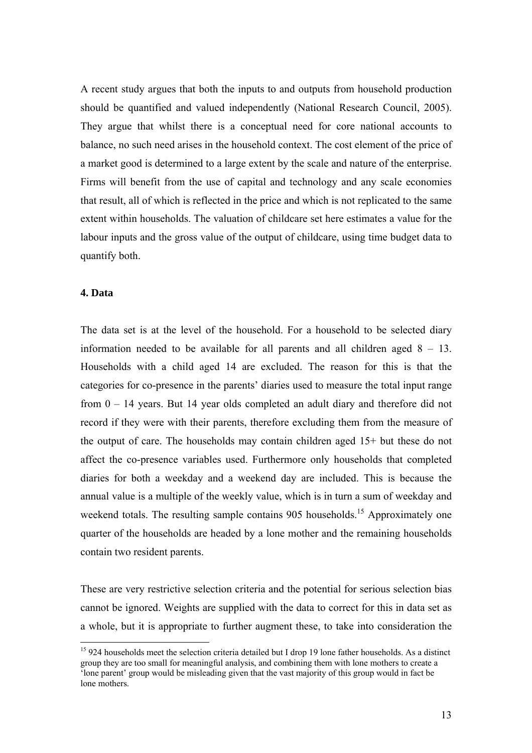A recent study argues that both the inputs to and outputs from household production should be quantified and valued independently (National Research Council, 2005). They argue that whilst there is a conceptual need for core national accounts to balance, no such need arises in the household context. The cost element of the price of a market good is determined to a large extent by the scale and nature of the enterprise. Firms will benefit from the use of capital and technology and any scale economies that result, all of which is reflected in the price and which is not replicated to the same extent within households. The valuation of childcare set here estimates a value for the labour inputs and the gross value of the output of childcare, using time budget data to quantify both.

#### **4. Data**

 $\overline{a}$ 

The data set is at the level of the household. For a household to be selected diary information needed to be available for all parents and all children aged  $8 - 13$ . Households with a child aged 14 are excluded. The reason for this is that the categories for co-presence in the parents' diaries used to measure the total input range from 0 – 14 years. But 14 year olds completed an adult diary and therefore did not record if they were with their parents, therefore excluding them from the measure of the output of care. The households may contain children aged 15+ but these do not affect the co-presence variables used. Furthermore only households that completed diaries for both a weekday and a weekend day are included. This is because the annual value is a multiple of the weekly value, which is in turn a sum of weekday and weekend totals. The resulting sample contains 905 households.<sup>15</sup> Approximately one quarter of the households are headed by a lone mother and the remaining households contain two resident parents.

These are very restrictive selection criteria and the potential for serious selection bias cannot be ignored. Weights are supplied with the data to correct for this in data set as a whole, but it is appropriate to further augment these, to take into consideration the

<sup>&</sup>lt;sup>15</sup> 924 households meet the selection criteria detailed but I drop 19 lone father households. As a distinct group they are too small for meaningful analysis, and combining them with lone mothers to create a 'lone parent' group would be misleading given that the vast majority of this group would in fact be lone mothers.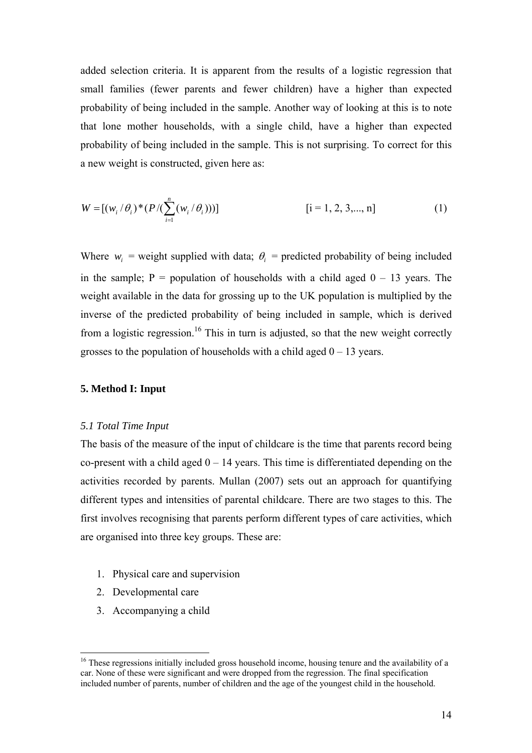added selection criteria. It is apparent from the results of a logistic regression that small families (fewer parents and fewer children) have a higher than expected probability of being included in the sample. Another way of looking at this is to note that lone mother households, with a single child, have a higher than expected probability of being included in the sample. This is not surprising. To correct for this a new weight is constructed, given here as:

$$
W = [(w_i / \theta_i)^* (P / (\sum_{i=1}^n (w_i / \theta_i)))]
$$
 [i = 1, 2, 3, ..., n] (1)

Where  $w_i$  = weight supplied with data;  $\theta_i$  = predicted probability of being included in the sample;  $P =$  population of households with a child aged  $0 - 13$  years. The weight available in the data for grossing up to the UK population is multiplied by the inverse of the predicted probability of being included in sample, which is derived from a logistic regression.<sup>16</sup> This in turn is adjusted, so that the new weight correctly grosses to the population of households with a child aged  $0 - 13$  years.

#### **5. Method I: Input**

#### *5.1 Total Time Input*

The basis of the measure of the input of childcare is the time that parents record being co-present with a child aged  $0 - 14$  years. This time is differentiated depending on the activities recorded by parents. Mullan (2007) sets out an approach for quantifying different types and intensities of parental childcare. There are two stages to this. The first involves recognising that parents perform different types of care activities, which are organised into three key groups. These are:

- 1. Physical care and supervision
- 2. Developmental care

 $\overline{a}$ 

3. Accompanying a child

 $16$  These regressions initially included gross household income, housing tenure and the availability of a car. None of these were significant and were dropped from the regression. The final specification included number of parents, number of children and the age of the youngest child in the household.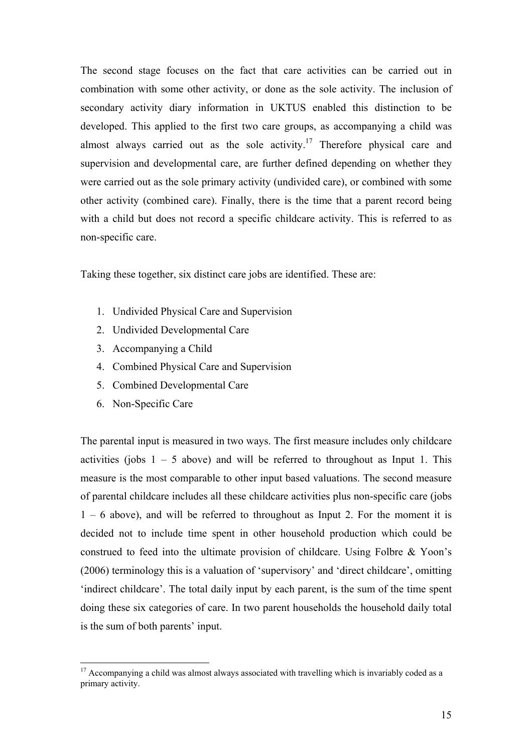The second stage focuses on the fact that care activities can be carried out in combination with some other activity, or done as the sole activity. The inclusion of secondary activity diary information in UKTUS enabled this distinction to be developed. This applied to the first two care groups, as accompanying a child was almost always carried out as the sole activity.<sup>17</sup> Therefore physical care and supervision and developmental care, are further defined depending on whether they were carried out as the sole primary activity (undivided care), or combined with some other activity (combined care). Finally, there is the time that a parent record being with a child but does not record a specific childcare activity. This is referred to as non-specific care.

Taking these together, six distinct care jobs are identified. These are:

- 1. Undivided Physical Care and Supervision
- 2. Undivided Developmental Care
- 3. Accompanying a Child
- 4. Combined Physical Care and Supervision
- 5. Combined Developmental Care
- 6. Non-Specific Care

 $\overline{a}$ 

The parental input is measured in two ways. The first measure includes only childcare activities (jobs  $1 - 5$  above) and will be referred to throughout as Input 1. This measure is the most comparable to other input based valuations. The second measure of parental childcare includes all these childcare activities plus non-specific care (jobs 1 – 6 above), and will be referred to throughout as Input 2. For the moment it is decided not to include time spent in other household production which could be construed to feed into the ultimate provision of childcare. Using Folbre & Yoon's (2006) terminology this is a valuation of 'supervisory' and 'direct childcare', omitting 'indirect childcare'. The total daily input by each parent, is the sum of the time spent doing these six categories of care. In two parent households the household daily total is the sum of both parents' input.

 $17$  Accompanying a child was almost always associated with travelling which is invariably coded as a primary activity.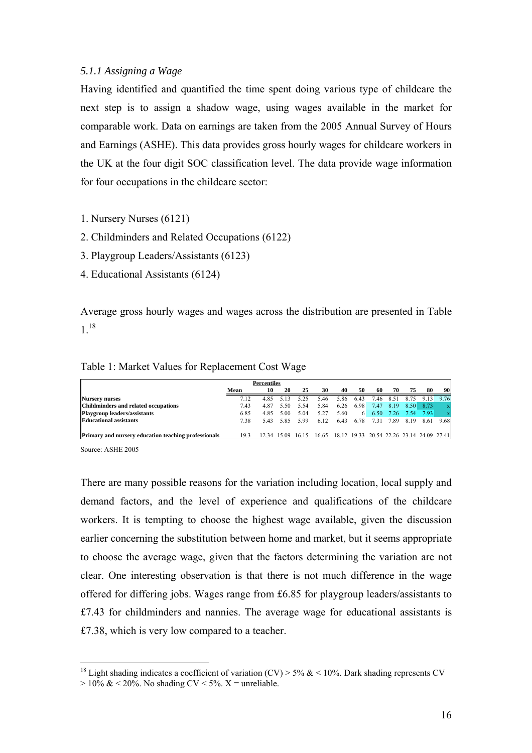## *5.1.1 Assigning a Wage*

Having identified and quantified the time spent doing various type of childcare the next step is to assign a shadow wage, using wages available in the market for comparable work. Data on earnings are taken from the 2005 Annual Survey of Hours and Earnings (ASHE). This data provides gross hourly wages for childcare workers in the UK at the four digit SOC classification level. The data provide wage information for four occupations in the childcare sector:

- 1. Nursery Nurses (6121)
- 2. Childminders and Related Occupations (6122)
- 3. Playgroup Leaders/Assistants (6123)
- 4. Educational Assistants (6124)

Average gross hourly wages and wages across the distribution are presented in Table 1.18

# Table 1: Market Values for Replacement Cost Wage

|                                                             |      | <b>Percentiles</b> |           |      |                                                                   |      |      |      |      |                |                     |             |
|-------------------------------------------------------------|------|--------------------|-----------|------|-------------------------------------------------------------------|------|------|------|------|----------------|---------------------|-------------|
|                                                             | Mean | 10                 | 20        | 25   | 30                                                                | 40   | 50   | 60   | 70   | 75             | 80                  | 90          |
| <b>Nursery nurses</b>                                       | 7.12 |                    | 4.85 5.13 | 5.25 | 5.46                                                              | 5.86 | 6.43 | 7.46 | 8.51 | 8.75           | 9.13                | 9.76        |
| Childminders and related occupations                        | 7.43 | 4.87               | 5.50      | 5.54 | 5.84                                                              | 6.26 | 6.98 |      |      |                | 7.47 8.19 8.50 8.73 | $\mathbf x$ |
| Playgroup leaders/assistants                                | 6.85 | 4.85               | 5.00      | 5.04 | 5.27                                                              | 5.60 | 6    |      |      | 6.50 7.26 7.54 | 7.93                | $\mathbf x$ |
| <b>Educational assistants</b>                               | 7.38 | 543                | 585       | 5.99 | 6.12                                                              | 6.43 | 6.78 | 7.31 | 7.89 | 8.19           | 8.61                | 9.68        |
|                                                             |      |                    |           |      |                                                                   |      |      |      |      |                |                     |             |
| <b>Primary and nursery education teaching professionals</b> | 193  |                    |           |      | 12.34 15.09 16.15 16.65 18.12 19.33 20.54 22.26 23.14 24.09 27.41 |      |      |      |      |                |                     |             |

Source: ASHE 2005

 $\overline{a}$ 

There are many possible reasons for the variation including location, local supply and demand factors, and the level of experience and qualifications of the childcare workers. It is tempting to choose the highest wage available, given the discussion earlier concerning the substitution between home and market, but it seems appropriate to choose the average wage, given that the factors determining the variation are not clear. One interesting observation is that there is not much difference in the wage offered for differing jobs. Wages range from £6.85 for playgroup leaders/assistants to £7.43 for childminders and nannies. The average wage for educational assistants is £7.38, which is very low compared to a teacher.

<sup>&</sup>lt;sup>18</sup> Light shading indicates a coefficient of variation (CV) > 5%  $\&$  < 10%. Dark shading represents CV  $> 10\% \& 20\%$ . No shading CV < 5%. X = unreliable.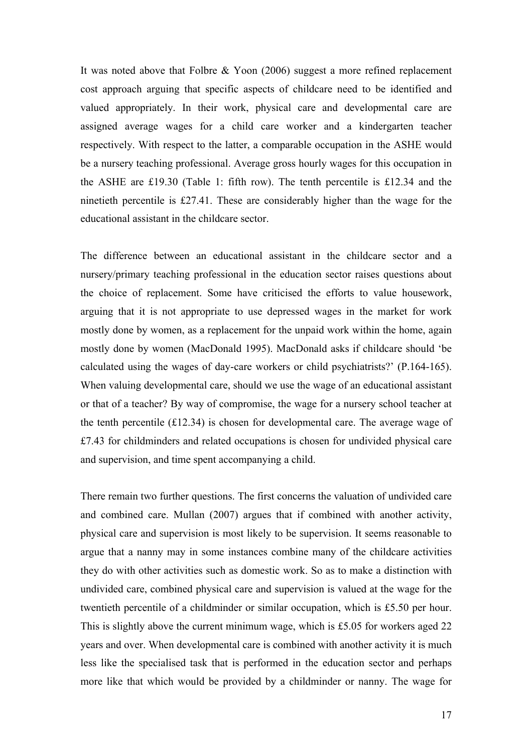It was noted above that Folbre & Yoon (2006) suggest a more refined replacement cost approach arguing that specific aspects of childcare need to be identified and valued appropriately. In their work, physical care and developmental care are assigned average wages for a child care worker and a kindergarten teacher respectively. With respect to the latter, a comparable occupation in the ASHE would be a nursery teaching professional. Average gross hourly wages for this occupation in the ASHE are £19.30 (Table 1: fifth row). The tenth percentile is £12.34 and the ninetieth percentile is £27.41. These are considerably higher than the wage for the educational assistant in the childcare sector.

The difference between an educational assistant in the childcare sector and a nursery/primary teaching professional in the education sector raises questions about the choice of replacement. Some have criticised the efforts to value housework, arguing that it is not appropriate to use depressed wages in the market for work mostly done by women, as a replacement for the unpaid work within the home, again mostly done by women (MacDonald 1995). MacDonald asks if childcare should 'be calculated using the wages of day-care workers or child psychiatrists?' (P.164-165). When valuing developmental care, should we use the wage of an educational assistant or that of a teacher? By way of compromise, the wage for a nursery school teacher at the tenth percentile  $(£12.34)$  is chosen for developmental care. The average wage of £7.43 for childminders and related occupations is chosen for undivided physical care and supervision, and time spent accompanying a child.

There remain two further questions. The first concerns the valuation of undivided care and combined care. Mullan (2007) argues that if combined with another activity, physical care and supervision is most likely to be supervision. It seems reasonable to argue that a nanny may in some instances combine many of the childcare activities they do with other activities such as domestic work. So as to make a distinction with undivided care, combined physical care and supervision is valued at the wage for the twentieth percentile of a childminder or similar occupation, which is £5.50 per hour. This is slightly above the current minimum wage, which is £5.05 for workers aged 22 years and over. When developmental care is combined with another activity it is much less like the specialised task that is performed in the education sector and perhaps more like that which would be provided by a childminder or nanny. The wage for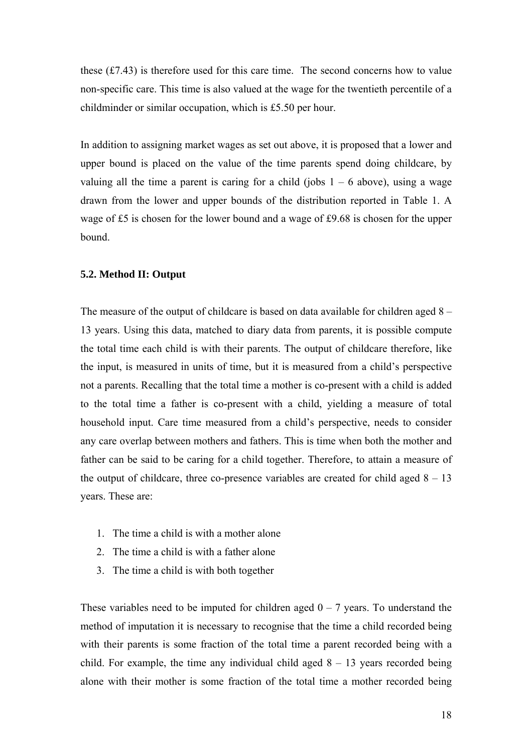these  $(f7.43)$  is therefore used for this care time. The second concerns how to value non-specific care. This time is also valued at the wage for the twentieth percentile of a childminder or similar occupation, which is £5.50 per hour.

In addition to assigning market wages as set out above, it is proposed that a lower and upper bound is placed on the value of the time parents spend doing childcare, by valuing all the time a parent is caring for a child (jobs  $1 - 6$  above), using a wage drawn from the lower and upper bounds of the distribution reported in Table 1. A wage of £5 is chosen for the lower bound and a wage of £9.68 is chosen for the upper bound.

## **5.2. Method II: Output**

The measure of the output of childcare is based on data available for children aged 8 – 13 years. Using this data, matched to diary data from parents, it is possible compute the total time each child is with their parents. The output of childcare therefore, like the input, is measured in units of time, but it is measured from a child's perspective not a parents. Recalling that the total time a mother is co-present with a child is added to the total time a father is co-present with a child, yielding a measure of total household input. Care time measured from a child's perspective, needs to consider any care overlap between mothers and fathers. This is time when both the mother and father can be said to be caring for a child together. Therefore, to attain a measure of the output of childcare, three co-presence variables are created for child aged  $8 - 13$ years. These are:

- 1. The time a child is with a mother alone
- 2. The time a child is with a father alone
- 3. The time a child is with both together

These variables need to be imputed for children aged  $0 - 7$  years. To understand the method of imputation it is necessary to recognise that the time a child recorded being with their parents is some fraction of the total time a parent recorded being with a child. For example, the time any individual child aged  $8 - 13$  years recorded being alone with their mother is some fraction of the total time a mother recorded being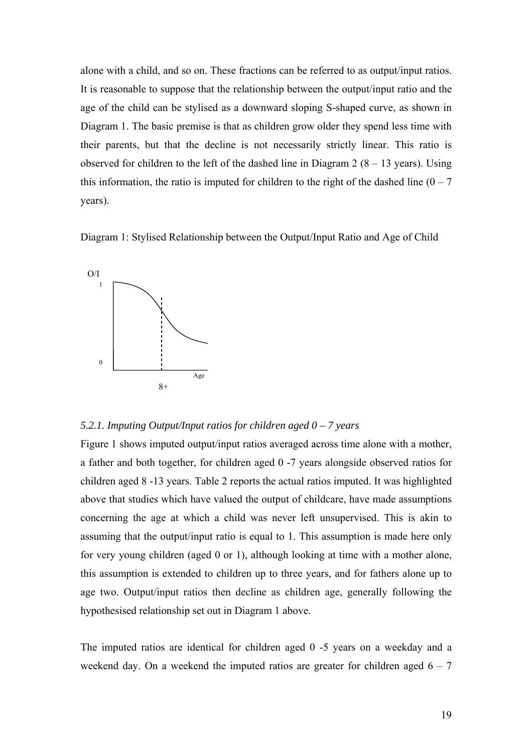alone with a child, and so on. These fractions can be referred to as output/input ratios. It is reasonable to suppose that the relationship between the output/input ratio and the age of the child can be stylised as a downward sloping S-shaped curve, as shown in Diagram 1. The basic premise is that as children grow older they spend less time with their parents, but that the decline is not necessarily strictly linear. This ratio is observed for children to the left of the dashed line in Diagram  $2(8 - 13 \text{ years})$ . Using this information, the ratio is imputed for children to the right of the dashed line  $(0 - 7)$ years).

Diagram 1: Stylised Relationship between the Output/Input Ratio and Age of Child



## *5.2.1. Imputing Output/Input ratios for children aged 0 – 7 years*

Figure 1 shows imputed output/input ratios averaged across time alone with a mother, a father and both together, for children aged 0 -7 years alongside observed ratios for children aged 8 -13 years. Table 2 reports the actual ratios imputed. It was highlighted above that studies which have valued the output of childcare, have made assumptions concerning the age at which a child was never left unsupervised. This is akin to assuming that the output/input ratio is equal to 1. This assumption is made here only for very young children (aged 0 or 1), although looking at time with a mother alone, this assumption is extended to children up to three years, and for fathers alone up to age two. Output/input ratios then decline as children age, generally following the hypothesised relationship set out in Diagram 1 above.

The imputed ratios are identical for children aged 0 -5 years on a weekday and a weekend day. On a weekend the imputed ratios are greater for children aged  $6 - 7$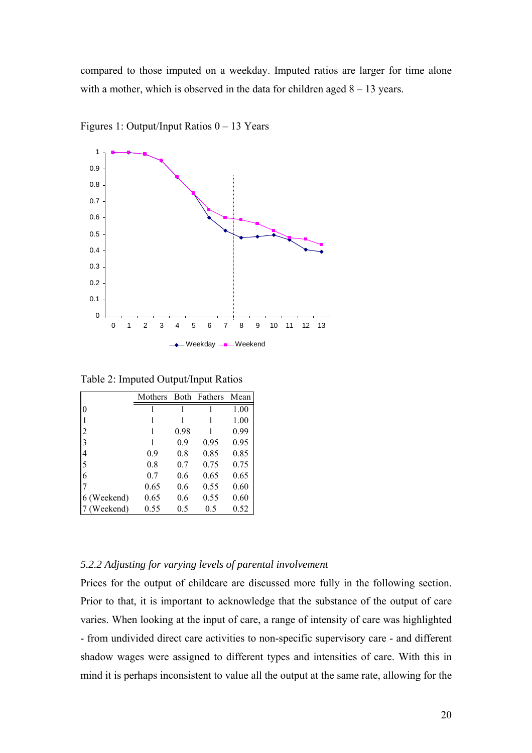compared to those imputed on a weekday. Imputed ratios are larger for time alone with a mother, which is observed in the data for children aged  $8 - 13$  years.



Figures 1: Output/Input Ratios 0 – 13 Years

Table 2: Imputed Output/Input Ratios

|                | Mothers |      | Both Fathers | Mean |
|----------------|---------|------|--------------|------|
| $\overline{0}$ |         |      |              | 1.00 |
|                |         |      |              | 1.00 |
| $\overline{2}$ | 1       | 0.98 |              | 0.99 |
| 3              | 1       | 0.9  | 0.95         | 0.95 |
| $\overline{4}$ | 0.9     | 0.8  | 0.85         | 0.85 |
| 5              | 0.8     | 0.7  | 0.75         | 0.75 |
| 6              | 0.7     | 0.6  | 0.65         | 0.65 |
|                | 0.65    | 0.6  | 0.55         | 0.60 |
| 6 (Weekend)    | 0.65    | 0.6  | 0.55         | 0.60 |
| (Weekend)      | 0.55    | 0.5  | 0.5          | 0.52 |

# *5.2.2 Adjusting for varying levels of parental involvement*

Prices for the output of childcare are discussed more fully in the following section. Prior to that, it is important to acknowledge that the substance of the output of care varies. When looking at the input of care, a range of intensity of care was highlighted - from undivided direct care activities to non-specific supervisory care - and different shadow wages were assigned to different types and intensities of care. With this in mind it is perhaps inconsistent to value all the output at the same rate, allowing for the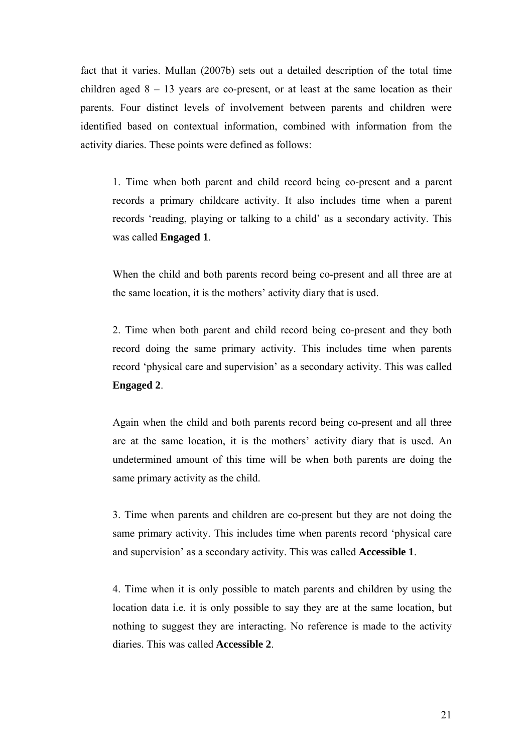fact that it varies. Mullan (2007b) sets out a detailed description of the total time children aged  $8 - 13$  years are co-present, or at least at the same location as their parents. Four distinct levels of involvement between parents and children were identified based on contextual information, combined with information from the activity diaries. These points were defined as follows:

1. Time when both parent and child record being co-present and a parent records a primary childcare activity. It also includes time when a parent records 'reading, playing or talking to a child' as a secondary activity. This was called **Engaged 1**.

When the child and both parents record being co-present and all three are at the same location, it is the mothers' activity diary that is used.

2. Time when both parent and child record being co-present and they both record doing the same primary activity. This includes time when parents record 'physical care and supervision' as a secondary activity. This was called **Engaged 2**.

Again when the child and both parents record being co-present and all three are at the same location, it is the mothers' activity diary that is used. An undetermined amount of this time will be when both parents are doing the same primary activity as the child.

3. Time when parents and children are co-present but they are not doing the same primary activity. This includes time when parents record 'physical care and supervision' as a secondary activity. This was called **Accessible 1**.

4. Time when it is only possible to match parents and children by using the location data i.e. it is only possible to say they are at the same location, but nothing to suggest they are interacting. No reference is made to the activity diaries. This was called **Accessible 2**.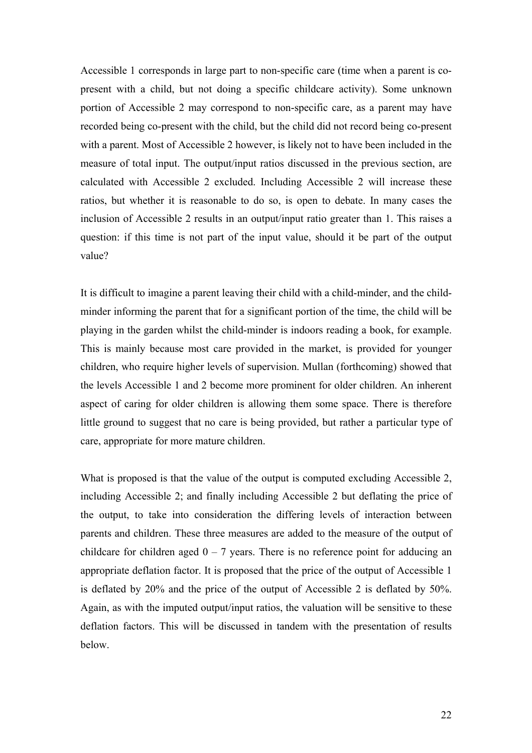Accessible 1 corresponds in large part to non-specific care (time when a parent is copresent with a child, but not doing a specific childcare activity). Some unknown portion of Accessible 2 may correspond to non-specific care, as a parent may have recorded being co-present with the child, but the child did not record being co-present with a parent. Most of Accessible 2 however, is likely not to have been included in the measure of total input. The output/input ratios discussed in the previous section, are calculated with Accessible 2 excluded. Including Accessible 2 will increase these ratios, but whether it is reasonable to do so, is open to debate. In many cases the inclusion of Accessible 2 results in an output/input ratio greater than 1. This raises a question: if this time is not part of the input value, should it be part of the output value?

It is difficult to imagine a parent leaving their child with a child-minder, and the childminder informing the parent that for a significant portion of the time, the child will be playing in the garden whilst the child-minder is indoors reading a book, for example. This is mainly because most care provided in the market, is provided for younger children, who require higher levels of supervision. Mullan (forthcoming) showed that the levels Accessible 1 and 2 become more prominent for older children. An inherent aspect of caring for older children is allowing them some space. There is therefore little ground to suggest that no care is being provided, but rather a particular type of care, appropriate for more mature children.

What is proposed is that the value of the output is computed excluding Accessible 2, including Accessible 2; and finally including Accessible 2 but deflating the price of the output, to take into consideration the differing levels of interaction between parents and children. These three measures are added to the measure of the output of childcare for children aged  $0 - 7$  years. There is no reference point for adducing an appropriate deflation factor. It is proposed that the price of the output of Accessible 1 is deflated by 20% and the price of the output of Accessible 2 is deflated by 50%. Again, as with the imputed output/input ratios, the valuation will be sensitive to these deflation factors. This will be discussed in tandem with the presentation of results below.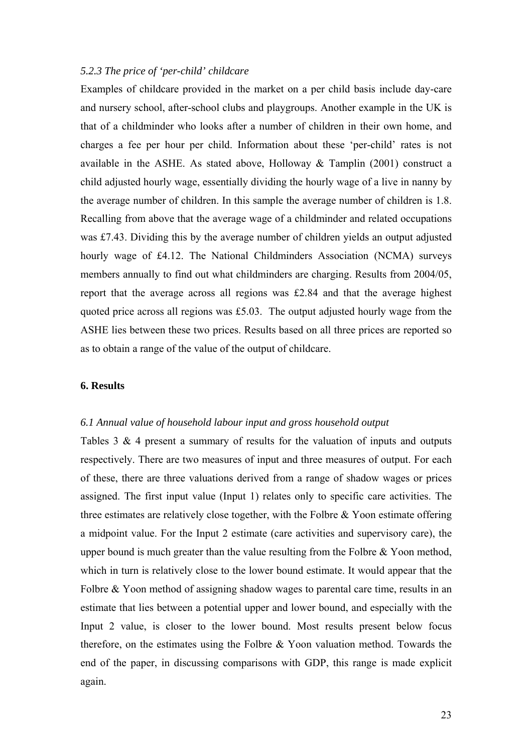## *5.2.3 The price of 'per-child' childcare*

Examples of childcare provided in the market on a per child basis include day-care and nursery school, after-school clubs and playgroups. Another example in the UK is that of a childminder who looks after a number of children in their own home, and charges a fee per hour per child. Information about these 'per-child' rates is not available in the ASHE. As stated above, Holloway  $\&$  Tamplin (2001) construct a child adjusted hourly wage, essentially dividing the hourly wage of a live in nanny by the average number of children. In this sample the average number of children is 1.8. Recalling from above that the average wage of a childminder and related occupations was £7.43. Dividing this by the average number of children yields an output adjusted hourly wage of £4.12. The National Childminders Association (NCMA) surveys members annually to find out what childminders are charging. Results from 2004/05, report that the average across all regions was £2.84 and that the average highest quoted price across all regions was £5.03. The output adjusted hourly wage from the ASHE lies between these two prices. Results based on all three prices are reported so as to obtain a range of the value of the output of childcare.

## **6. Results**

### *6.1 Annual value of household labour input and gross household output*

Tables 3 & 4 present a summary of results for the valuation of inputs and outputs respectively. There are two measures of input and three measures of output. For each of these, there are three valuations derived from a range of shadow wages or prices assigned. The first input value (Input 1) relates only to specific care activities. The three estimates are relatively close together, with the Folbre & Yoon estimate offering a midpoint value. For the Input 2 estimate (care activities and supervisory care), the upper bound is much greater than the value resulting from the Folbre & Yoon method, which in turn is relatively close to the lower bound estimate. It would appear that the Folbre & Yoon method of assigning shadow wages to parental care time, results in an estimate that lies between a potential upper and lower bound, and especially with the Input 2 value, is closer to the lower bound. Most results present below focus therefore, on the estimates using the Folbre & Yoon valuation method. Towards the end of the paper, in discussing comparisons with GDP, this range is made explicit again.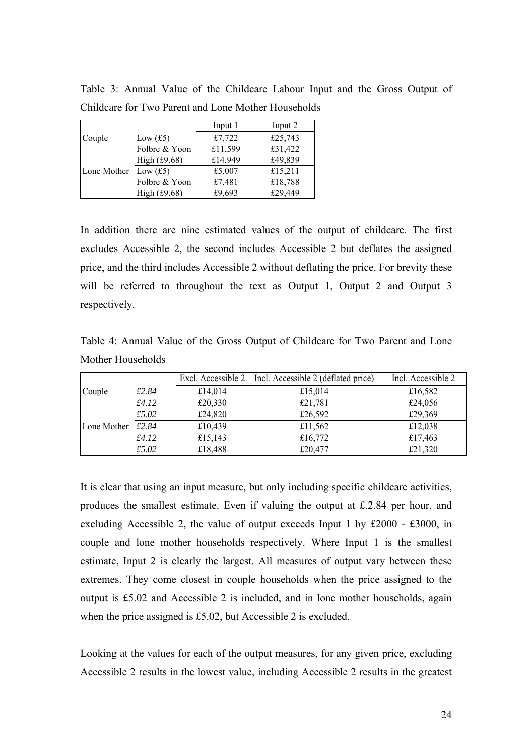|                        |                | Input 1 | Input 2 |
|------------------------|----------------|---------|---------|
| Couple                 | Low $(f5)$     | £7,722  | £25,743 |
|                        | Folbre & Yoon  | £11,599 | £31,422 |
|                        | High $(f9.68)$ | £14,949 | £49,839 |
| Lone Mother Low $(f5)$ |                | £5,007  | £15,211 |
|                        | Folbre & Yoon  | £7,481  | £18,788 |
|                        | High $(f9.68)$ | £9,693  | £29,449 |

Table 3: Annual Value of the Childcare Labour Input and the Gross Output of Childcare for Two Parent and Lone Mother Households

In addition there are nine estimated values of the output of childcare. The first excludes Accessible 2, the second includes Accessible 2 but deflates the assigned price, and the third includes Accessible 2 without deflating the price. For brevity these will be referred to throughout the text as Output 1, Output 2 and Output 3 respectively.

Table 4: Annual Value of the Gross Output of Childcare for Two Parent and Lone Mother Households

|             |       |         | Excl. Accessible 2 Incl. Accessible 2 (deflated price) | Incl. Accessible 2 |
|-------------|-------|---------|--------------------------------------------------------|--------------------|
| Couple      | £2.84 | £14,014 | £15,014                                                | £16,582            |
|             | £4.12 | £20,330 | £21,781                                                | £24,056            |
|             | £5.02 | £24,820 | £26,592                                                | £29,369            |
| Lone Mother | £2.84 | £10,439 | £11,562                                                | £12,038            |
|             | £4.12 | £15,143 | £16,772                                                | £17,463            |
|             | £5.02 | £18,488 | £20,477                                                | £21,320            |

It is clear that using an input measure, but only including specific childcare activities, produces the smallest estimate. Even if valuing the output at £.2.84 per hour, and excluding Accessible 2, the value of output exceeds Input 1 by £2000 - £3000, in couple and lone mother households respectively. Where Input 1 is the smallest estimate, Input 2 is clearly the largest. All measures of output vary between these extremes. They come closest in couple households when the price assigned to the output is £5.02 and Accessible 2 is included, and in lone mother households, again when the price assigned is £5.02, but Accessible 2 is excluded.

Looking at the values for each of the output measures, for any given price, excluding Accessible 2 results in the lowest value, including Accessible 2 results in the greatest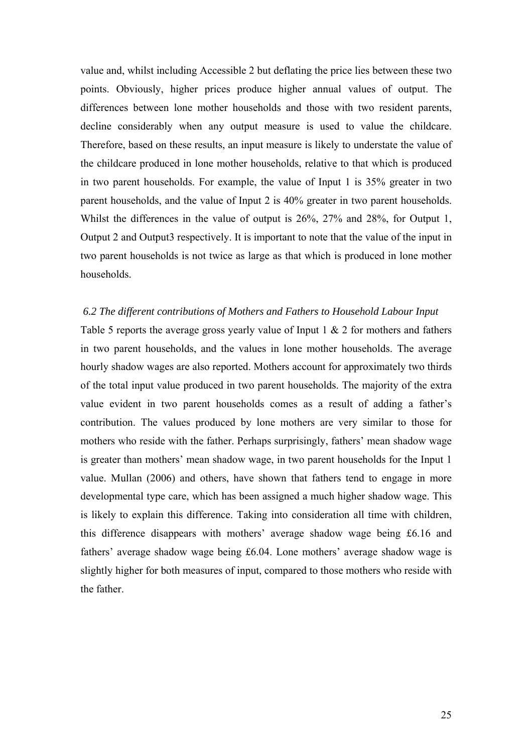value and, whilst including Accessible 2 but deflating the price lies between these two points. Obviously, higher prices produce higher annual values of output. The differences between lone mother households and those with two resident parents, decline considerably when any output measure is used to value the childcare. Therefore, based on these results, an input measure is likely to understate the value of the childcare produced in lone mother households, relative to that which is produced in two parent households. For example, the value of Input 1 is 35% greater in two parent households, and the value of Input 2 is 40% greater in two parent households. Whilst the differences in the value of output is 26%, 27% and 28%, for Output 1, Output 2 and Output3 respectively. It is important to note that the value of the input in two parent households is not twice as large as that which is produced in lone mother households.

#### *6.2 The different contributions of Mothers and Fathers to Household Labour Input*

Table 5 reports the average gross yearly value of Input 1 & 2 for mothers and fathers in two parent households, and the values in lone mother households. The average hourly shadow wages are also reported. Mothers account for approximately two thirds of the total input value produced in two parent households. The majority of the extra value evident in two parent households comes as a result of adding a father's contribution. The values produced by lone mothers are very similar to those for mothers who reside with the father. Perhaps surprisingly, fathers' mean shadow wage is greater than mothers' mean shadow wage, in two parent households for the Input 1 value. Mullan (2006) and others, have shown that fathers tend to engage in more developmental type care, which has been assigned a much higher shadow wage. This is likely to explain this difference. Taking into consideration all time with children, this difference disappears with mothers' average shadow wage being £6.16 and fathers' average shadow wage being £6.04. Lone mothers' average shadow wage is slightly higher for both measures of input, compared to those mothers who reside with the father.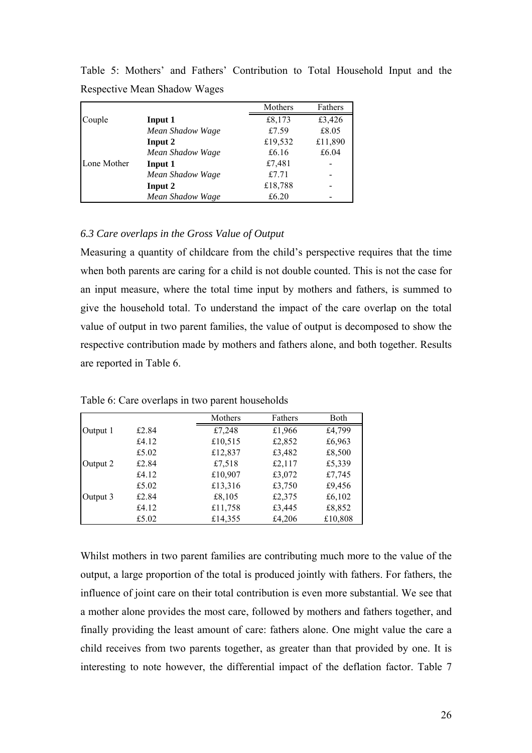|             |                  | Mothers | Fathers |
|-------------|------------------|---------|---------|
| Couple      | Input 1          | £8,173  | £3,426  |
|             | Mean Shadow Wage | £7.59   | £8.05   |
|             | Input 2          | £19,532 | £11,890 |
|             | Mean Shadow Wage | £6.16   | £6.04   |
| Lone Mother | Input 1          | £7,481  |         |
|             | Mean Shadow Wage | £7.71   |         |
|             | Input 2          | £18,788 |         |
|             | Mean Shadow Wage | £6.20   |         |

Table 5: Mothers' and Fathers' Contribution to Total Household Input and the Respective Mean Shadow Wages

# *6.3 Care overlaps in the Gross Value of Output*

Measuring a quantity of childcare from the child's perspective requires that the time when both parents are caring for a child is not double counted. This is not the case for an input measure, where the total time input by mothers and fathers, is summed to give the household total. To understand the impact of the care overlap on the total value of output in two parent families, the value of output is decomposed to show the respective contribution made by mothers and fathers alone, and both together. Results are reported in Table 6.

|          |       | Mothers | Fathers | Both    |
|----------|-------|---------|---------|---------|
| Output 1 | £2.84 | £7,248  | £1,966  | £4,799  |
|          | £4.12 | £10,515 | £2,852  | £6,963  |
|          | £5.02 | £12,837 | £3,482  | £8,500  |
| Output 2 | £2.84 | £7,518  | £2,117  | £5,339  |
|          | £4.12 | £10,907 | £3,072  | £7,745  |
|          | £5.02 | £13,316 | £3,750  | £9,456  |
| Output 3 | £2.84 | £8,105  | £2,375  | £6,102  |
|          | £4.12 | £11,758 | £3,445  | £8,852  |
|          | £5.02 | £14,355 | £4,206  | £10,808 |

Table 6: Care overlaps in two parent households

Whilst mothers in two parent families are contributing much more to the value of the output, a large proportion of the total is produced jointly with fathers. For fathers, the influence of joint care on their total contribution is even more substantial. We see that a mother alone provides the most care, followed by mothers and fathers together, and finally providing the least amount of care: fathers alone. One might value the care a child receives from two parents together, as greater than that provided by one. It is interesting to note however, the differential impact of the deflation factor. Table 7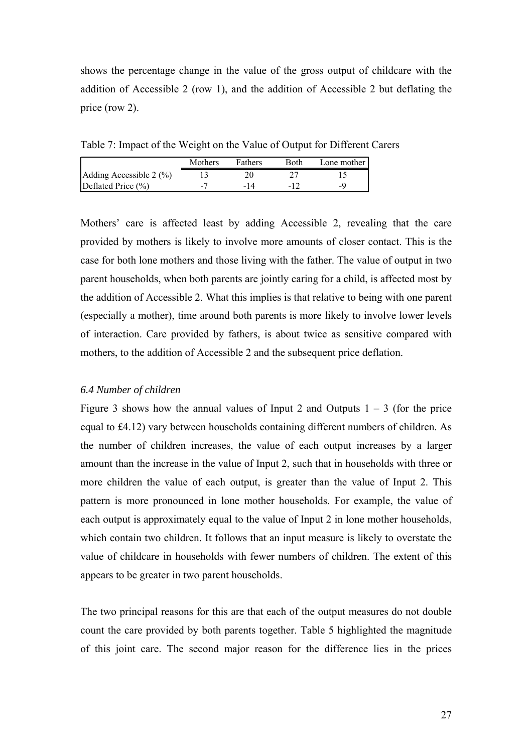shows the percentage change in the value of the gross output of childcare with the addition of Accessible 2 (row 1), and the addition of Accessible 2 but deflating the price (row 2).

Table 7: Impact of the Weight on the Value of Output for Different Carers

|                         | Mothers | Fathers | Both | Lone mother |
|-------------------------|---------|---------|------|-------------|
| Adding Accessible 2 (%) |         |         |      |             |
| Deflated Price $(\% )$  | -       | -14     |      |             |

Mothers' care is affected least by adding Accessible 2, revealing that the care provided by mothers is likely to involve more amounts of closer contact. This is the case for both lone mothers and those living with the father. The value of output in two parent households, when both parents are jointly caring for a child, is affected most by the addition of Accessible 2. What this implies is that relative to being with one parent (especially a mother), time around both parents is more likely to involve lower levels of interaction. Care provided by fathers, is about twice as sensitive compared with mothers, to the addition of Accessible 2 and the subsequent price deflation.

#### *6.4 Number of children*

Figure 3 shows how the annual values of Input 2 and Outputs  $1 - 3$  (for the price equal to £4.12) vary between households containing different numbers of children. As the number of children increases, the value of each output increases by a larger amount than the increase in the value of Input 2, such that in households with three or more children the value of each output, is greater than the value of Input 2. This pattern is more pronounced in lone mother households. For example, the value of each output is approximately equal to the value of Input 2 in lone mother households, which contain two children. It follows that an input measure is likely to overstate the value of childcare in households with fewer numbers of children. The extent of this appears to be greater in two parent households.

The two principal reasons for this are that each of the output measures do not double count the care provided by both parents together. Table 5 highlighted the magnitude of this joint care. The second major reason for the difference lies in the prices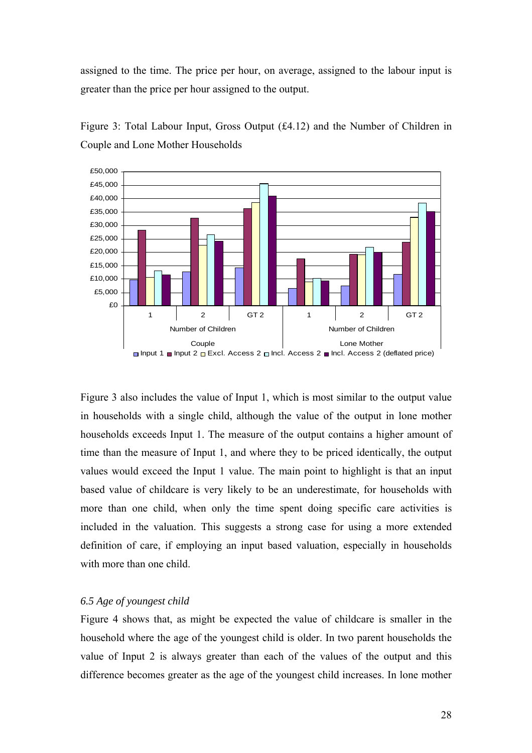assigned to the time. The price per hour, on average, assigned to the labour input is greater than the price per hour assigned to the output.



Figure 3: Total Labour Input, Gross Output (£4.12) and the Number of Children in Couple and Lone Mother Households

Figure 3 also includes the value of Input 1, which is most similar to the output value in households with a single child, although the value of the output in lone mother households exceeds Input 1. The measure of the output contains a higher amount of time than the measure of Input 1, and where they to be priced identically, the output values would exceed the Input 1 value. The main point to highlight is that an input based value of childcare is very likely to be an underestimate, for households with more than one child, when only the time spent doing specific care activities is included in the valuation. This suggests a strong case for using a more extended definition of care, if employing an input based valuation, especially in households with more than one child.

#### *6.5 Age of youngest child*

Figure 4 shows that, as might be expected the value of childcare is smaller in the household where the age of the youngest child is older. In two parent households the value of Input 2 is always greater than each of the values of the output and this difference becomes greater as the age of the youngest child increases. In lone mother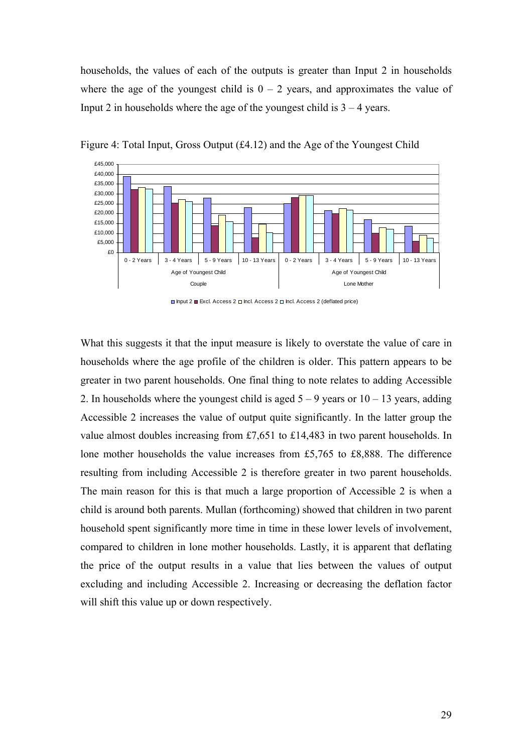households, the values of each of the outputs is greater than Input 2 in households where the age of the youngest child is  $0 - 2$  years, and approximates the value of Input 2 in households where the age of the youngest child is  $3 - 4$  years.



Figure 4: Total Input, Gross Output  $(f4.12)$  and the Age of the Youngest Child

What this suggests it that the input measure is likely to overstate the value of care in households where the age profile of the children is older. This pattern appears to be greater in two parent households. One final thing to note relates to adding Accessible 2. In households where the youngest child is aged  $5 - 9$  years or  $10 - 13$  years, adding Accessible 2 increases the value of output quite significantly. In the latter group the value almost doubles increasing from £7,651 to £14,483 in two parent households. In lone mother households the value increases from £5,765 to £8,888. The difference resulting from including Accessible 2 is therefore greater in two parent households. The main reason for this is that much a large proportion of Accessible 2 is when a child is around both parents. Mullan (forthcoming) showed that children in two parent household spent significantly more time in time in these lower levels of involvement, compared to children in lone mother households. Lastly, it is apparent that deflating the price of the output results in a value that lies between the values of output excluding and including Accessible 2. Increasing or decreasing the deflation factor will shift this value up or down respectively.

 $\Box$  Input 2  $\Box$  Excl. Access 2  $\Box$  Incl. Access 2  $\Box$  Incl. Access 2 (deflated price)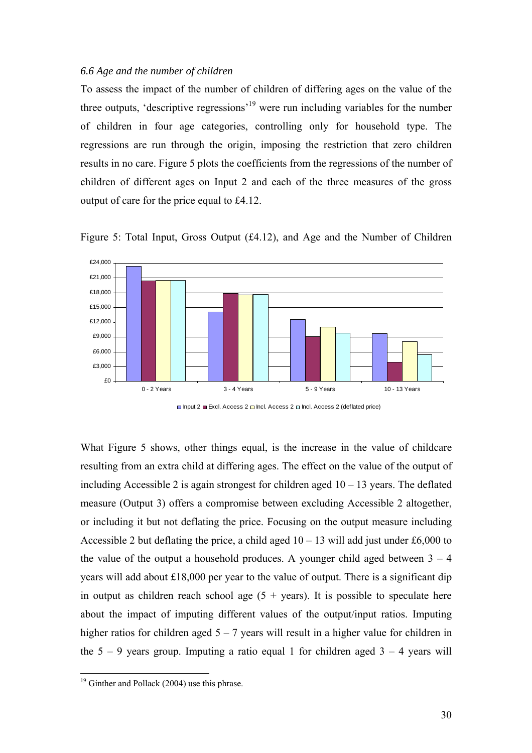#### *6.6 Age and the number of children*

To assess the impact of the number of children of differing ages on the value of the three outputs, 'descriptive regressions'19 were run including variables for the number of children in four age categories, controlling only for household type. The regressions are run through the origin, imposing the restriction that zero children results in no care. Figure 5 plots the coefficients from the regressions of the number of children of different ages on Input 2 and each of the three measures of the gross output of care for the price equal to £4.12.



Figure 5: Total Input, Gross Output (£4.12), and Age and the Number of Children

 $\Box$  Input 2  $\Box$  Excl. Access 2  $\Box$  Incl. Access 2  $\Box$  Incl. Access 2 (deflated price)

What Figure 5 shows, other things equal, is the increase in the value of childcare resulting from an extra child at differing ages. The effect on the value of the output of including Accessible 2 is again strongest for children aged  $10 - 13$  years. The deflated measure (Output 3) offers a compromise between excluding Accessible 2 altogether, or including it but not deflating the price. Focusing on the output measure including Accessible 2 but deflating the price, a child aged  $10 - 13$  will add just under £6,000 to the value of the output a household produces. A younger child aged between  $3 - 4$ years will add about £18,000 per year to the value of output. There is a significant dip in output as children reach school age  $(5 + \text{years})$ . It is possible to speculate here about the impact of imputing different values of the output/input ratios. Imputing higher ratios for children aged  $5 - 7$  years will result in a higher value for children in the  $5 - 9$  years group. Imputing a ratio equal 1 for children aged  $3 - 4$  years will

 $\overline{a}$ 

 $19$  Ginther and Pollack (2004) use this phrase.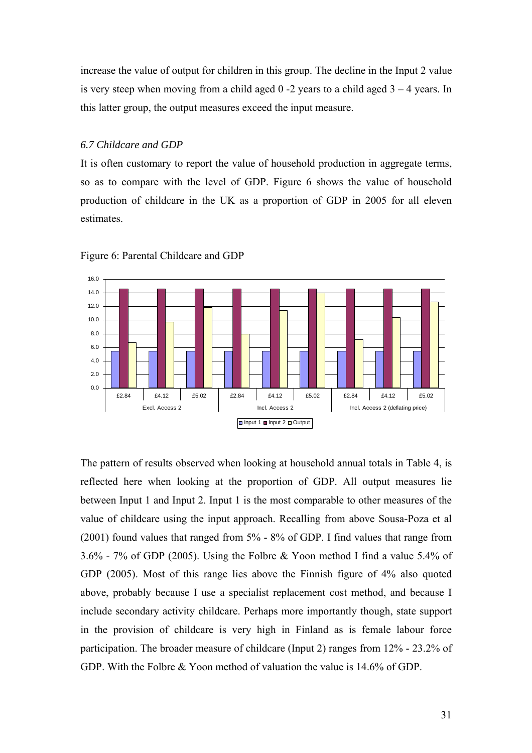increase the value of output for children in this group. The decline in the Input 2 value is very steep when moving from a child aged  $0 - 2$  years to a child aged  $3 - 4$  years. In this latter group, the output measures exceed the input measure.

## *6.7 Childcare and GDP*

It is often customary to report the value of household production in aggregate terms, so as to compare with the level of GDP. Figure 6 shows the value of household production of childcare in the UK as a proportion of GDP in 2005 for all eleven estimates.



Figure 6: Parental Childcare and GDP

The pattern of results observed when looking at household annual totals in Table 4, is reflected here when looking at the proportion of GDP. All output measures lie between Input 1 and Input 2. Input 1 is the most comparable to other measures of the value of childcare using the input approach. Recalling from above Sousa-Poza et al (2001) found values that ranged from 5% - 8% of GDP. I find values that range from 3.6% - 7% of GDP (2005). Using the Folbre & Yoon method I find a value 5.4% of GDP (2005). Most of this range lies above the Finnish figure of 4% also quoted above, probably because I use a specialist replacement cost method, and because I include secondary activity childcare. Perhaps more importantly though, state support in the provision of childcare is very high in Finland as is female labour force participation. The broader measure of childcare (Input 2) ranges from 12% - 23.2% of GDP. With the Folbre & Yoon method of valuation the value is 14.6% of GDP.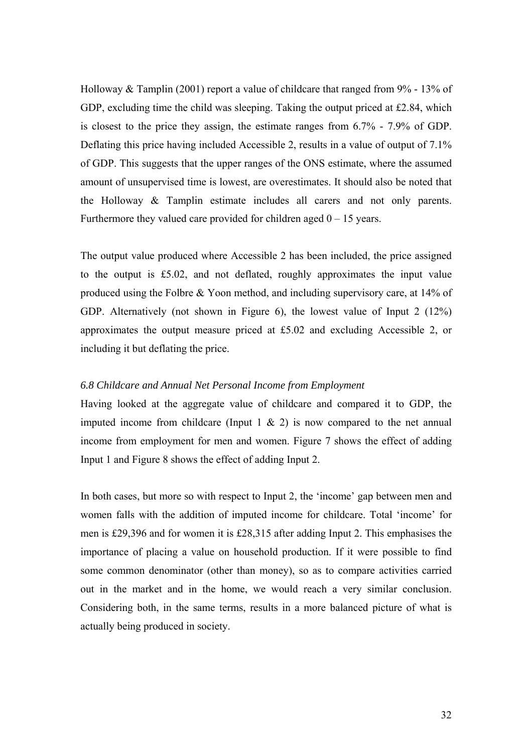Holloway & Tamplin (2001) report a value of childcare that ranged from 9% - 13% of GDP, excluding time the child was sleeping. Taking the output priced at £2.84, which is closest to the price they assign, the estimate ranges from 6.7% - 7.9% of GDP. Deflating this price having included Accessible 2, results in a value of output of 7.1% of GDP. This suggests that the upper ranges of the ONS estimate, where the assumed amount of unsupervised time is lowest, are overestimates. It should also be noted that the Holloway & Tamplin estimate includes all carers and not only parents. Furthermore they valued care provided for children aged  $0 - 15$  years.

The output value produced where Accessible 2 has been included, the price assigned to the output is £5.02, and not deflated, roughly approximates the input value produced using the Folbre & Yoon method, and including supervisory care, at 14% of GDP. Alternatively (not shown in Figure 6), the lowest value of Input 2 (12%) approximates the output measure priced at £5.02 and excluding Accessible 2, or including it but deflating the price.

# *6.8 Childcare and Annual Net Personal Income from Employment*

Having looked at the aggregate value of childcare and compared it to GDP, the imputed income from childcare (Input  $1 \& 2$ ) is now compared to the net annual income from employment for men and women. Figure 7 shows the effect of adding Input 1 and Figure 8 shows the effect of adding Input 2.

In both cases, but more so with respect to Input 2, the 'income' gap between men and women falls with the addition of imputed income for childcare. Total 'income' for men is £29,396 and for women it is £28,315 after adding Input 2. This emphasises the importance of placing a value on household production. If it were possible to find some common denominator (other than money), so as to compare activities carried out in the market and in the home, we would reach a very similar conclusion. Considering both, in the same terms, results in a more balanced picture of what is actually being produced in society.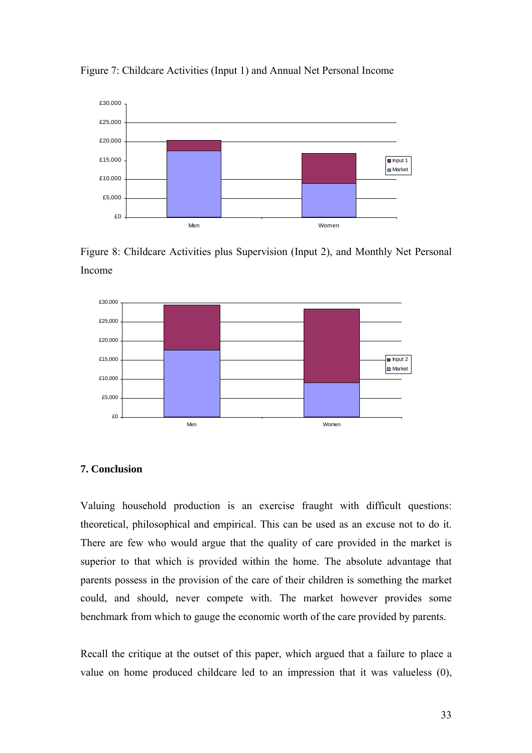

Figure 7: Childcare Activities (Input 1) and Annual Net Personal Income





# **7. Conclusion**

Valuing household production is an exercise fraught with difficult questions: theoretical, philosophical and empirical. This can be used as an excuse not to do it. There are few who would argue that the quality of care provided in the market is superior to that which is provided within the home. The absolute advantage that parents possess in the provision of the care of their children is something the market could, and should, never compete with. The market however provides some benchmark from which to gauge the economic worth of the care provided by parents.

Recall the critique at the outset of this paper, which argued that a failure to place a value on home produced childcare led to an impression that it was valueless (0),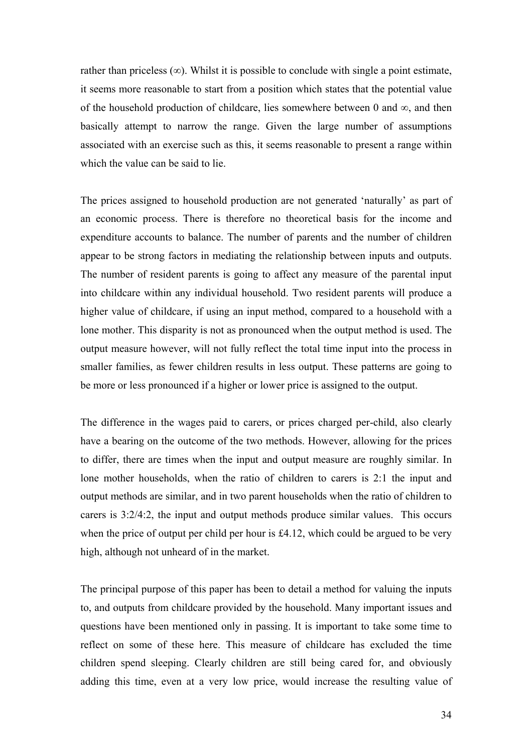rather than priceless  $(\infty)$ . Whilst it is possible to conclude with single a point estimate, it seems more reasonable to start from a position which states that the potential value of the household production of childcare, lies somewhere between 0 and  $\infty$ , and then basically attempt to narrow the range. Given the large number of assumptions associated with an exercise such as this, it seems reasonable to present a range within which the value can be said to lie.

The prices assigned to household production are not generated 'naturally' as part of an economic process. There is therefore no theoretical basis for the income and expenditure accounts to balance. The number of parents and the number of children appear to be strong factors in mediating the relationship between inputs and outputs. The number of resident parents is going to affect any measure of the parental input into childcare within any individual household. Two resident parents will produce a higher value of childcare, if using an input method, compared to a household with a lone mother. This disparity is not as pronounced when the output method is used. The output measure however, will not fully reflect the total time input into the process in smaller families, as fewer children results in less output. These patterns are going to be more or less pronounced if a higher or lower price is assigned to the output.

The difference in the wages paid to carers, or prices charged per-child, also clearly have a bearing on the outcome of the two methods. However, allowing for the prices to differ, there are times when the input and output measure are roughly similar. In lone mother households, when the ratio of children to carers is 2:1 the input and output methods are similar, and in two parent households when the ratio of children to carers is 3:2/4:2, the input and output methods produce similar values. This occurs when the price of output per child per hour is £4.12, which could be argued to be very high, although not unheard of in the market.

The principal purpose of this paper has been to detail a method for valuing the inputs to, and outputs from childcare provided by the household. Many important issues and questions have been mentioned only in passing. It is important to take some time to reflect on some of these here. This measure of childcare has excluded the time children spend sleeping. Clearly children are still being cared for, and obviously adding this time, even at a very low price, would increase the resulting value of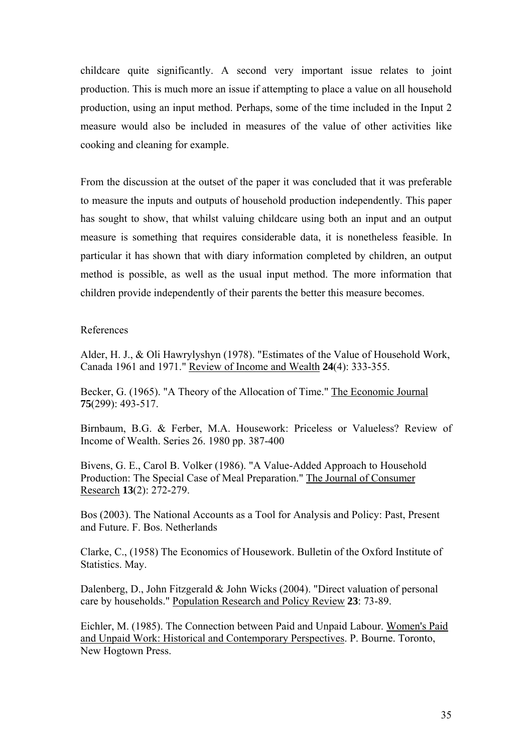childcare quite significantly. A second very important issue relates to joint production. This is much more an issue if attempting to place a value on all household production, using an input method. Perhaps, some of the time included in the Input 2 measure would also be included in measures of the value of other activities like cooking and cleaning for example.

From the discussion at the outset of the paper it was concluded that it was preferable to measure the inputs and outputs of household production independently. This paper has sought to show, that whilst valuing childcare using both an input and an output measure is something that requires considerable data, it is nonetheless feasible. In particular it has shown that with diary information completed by children, an output method is possible, as well as the usual input method. The more information that children provide independently of their parents the better this measure becomes.

# References

Alder, H. J., & Oli Hawrylyshyn (1978). "Estimates of the Value of Household Work, Canada 1961 and 1971." Review of Income and Wealth **24**(4): 333-355.

Becker, G. (1965). "A Theory of the Allocation of Time." The Economic Journal **75**(299): 493-517.

Birnbaum, B.G. & Ferber, M.A. Housework: Priceless or Valueless? Review of Income of Wealth. Series 26. 1980 pp. 387-400

Bivens, G. E., Carol B. Volker (1986). "A Value-Added Approach to Household Production: The Special Case of Meal Preparation." The Journal of Consumer Research **13**(2): 272-279.

Bos (2003). The National Accounts as a Tool for Analysis and Policy: Past, Present and Future. F. Bos. Netherlands

Clarke, C., (1958) The Economics of Housework. Bulletin of the Oxford Institute of Statistics. May.

Dalenberg, D., John Fitzgerald & John Wicks (2004). "Direct valuation of personal care by households." Population Research and Policy Review **23**: 73-89.

Eichler, M. (1985). The Connection between Paid and Unpaid Labour. Women's Paid and Unpaid Work: Historical and Contemporary Perspectives. P. Bourne. Toronto, New Hogtown Press.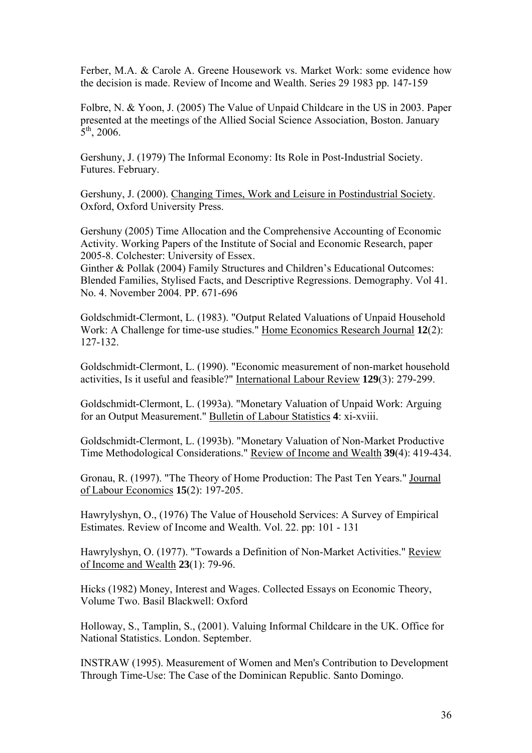Ferber, M.A. & Carole A. Greene Housework vs. Market Work: some evidence how the decision is made. Review of Income and Wealth. Series 29 1983 pp. 147-159

Folbre, N. & Yoon, J. (2005) The Value of Unpaid Childcare in the US in 2003. Paper presented at the meetings of the Allied Social Science Association, Boston. January  $5<sup>th</sup>$ , 2006.

Gershuny, J. (1979) The Informal Economy: Its Role in Post-Industrial Society. Futures. February.

Gershuny, J. (2000). Changing Times, Work and Leisure in Postindustrial Society. Oxford, Oxford University Press.

Gershuny (2005) Time Allocation and the Comprehensive Accounting of Economic Activity. Working Papers of the Institute of Social and Economic Research, paper 2005-8. Colchester: University of Essex.

Ginther & Pollak (2004) Family Structures and Children's Educational Outcomes: Blended Families, Stylised Facts, and Descriptive Regressions. Demography. Vol 41. No. 4. November 2004. PP. 671-696

Goldschmidt-Clermont, L. (1983). "Output Related Valuations of Unpaid Household Work: A Challenge for time-use studies." Home Economics Research Journal **12**(2): 127-132.

Goldschmidt-Clermont, L. (1990). "Economic measurement of non-market household activities, Is it useful and feasible?" International Labour Review **129**(3): 279-299.

Goldschmidt-Clermont, L. (1993a). "Monetary Valuation of Unpaid Work: Arguing for an Output Measurement." Bulletin of Labour Statistics **4**: xi-xviii.

Goldschmidt-Clermont, L. (1993b). "Monetary Valuation of Non-Market Productive Time Methodological Considerations." Review of Income and Wealth **39**(4): 419-434.

Gronau, R. (1997). "The Theory of Home Production: The Past Ten Years." Journal of Labour Economics **15**(2): 197-205.

Hawrylyshyn, O., (1976) The Value of Household Services: A Survey of Empirical Estimates. Review of Income and Wealth. Vol. 22. pp: 101 - 131

Hawrylyshyn, O. (1977). "Towards a Definition of Non-Market Activities." Review of Income and Wealth **23**(1): 79-96.

Hicks (1982) Money, Interest and Wages. Collected Essays on Economic Theory, Volume Two. Basil Blackwell: Oxford

Holloway, S., Tamplin, S., (2001). Valuing Informal Childcare in the UK. Office for National Statistics. London. September.

INSTRAW (1995). Measurement of Women and Men's Contribution to Development Through Time-Use: The Case of the Dominican Republic. Santo Domingo.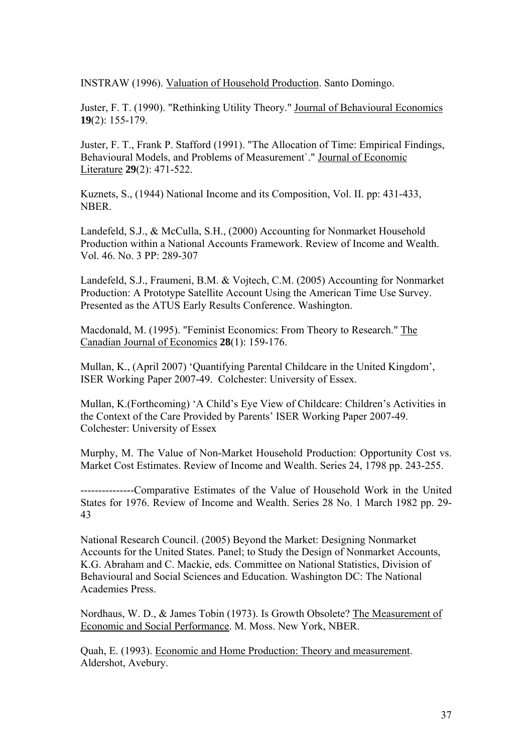INSTRAW (1996). Valuation of Household Production. Santo Domingo.

Juster, F. T. (1990). "Rethinking Utility Theory." Journal of Behavioural Economics **19**(2): 155-179.

Juster, F. T., Frank P. Stafford (1991). "The Allocation of Time: Empirical Findings, Behavioural Models, and Problems of Measurement`." Journal of Economic Literature **29**(2): 471-522.

Kuznets, S., (1944) National Income and its Composition, Vol. II. pp: 431-433, NBER.

Landefeld, S.J., & McCulla, S.H., (2000) Accounting for Nonmarket Household Production within a National Accounts Framework. Review of Income and Wealth. Vol. 46. No. 3 PP: 289-307

Landefeld, S.J., Fraumeni, B.M. & Vojtech, C.M. (2005) Accounting for Nonmarket Production: A Prototype Satellite Account Using the American Time Use Survey. Presented as the ATUS Early Results Conference. Washington.

Macdonald, M. (1995). "Feminist Economics: From Theory to Research." The Canadian Journal of Economics **28**(1): 159-176.

Mullan, K., (April 2007) 'Quantifying Parental Childcare in the United Kingdom', ISER Working Paper 2007-49. Colchester: University of Essex.

Mullan, K.(Forthcoming) 'A Child's Eye View of Childcare: Children's Activities in the Context of the Care Provided by Parents' ISER Working Paper 2007-49. Colchester: University of Essex

Murphy, M. The Value of Non-Market Household Production: Opportunity Cost vs. Market Cost Estimates. Review of Income and Wealth. Series 24, 1798 pp. 243-255.

---------------Comparative Estimates of the Value of Household Work in the United States for 1976. Review of Income and Wealth. Series 28 No. 1 March 1982 pp. 29- 43

National Research Council. (2005) Beyond the Market: Designing Nonmarket Accounts for the United States. Panel; to Study the Design of Nonmarket Accounts, K.G. Abraham and C. Mackie, eds. Committee on National Statistics, Division of Behavioural and Social Sciences and Education. Washington DC: The National Academies Press.

Nordhaus, W. D., & James Tobin (1973). Is Growth Obsolete? The Measurement of Economic and Social Performance. M. Moss. New York, NBER.

Quah, E. (1993). Economic and Home Production: Theory and measurement. Aldershot, Avebury.